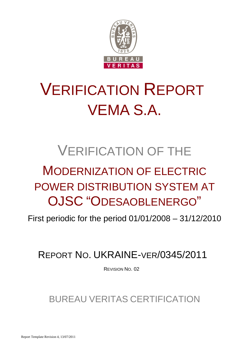

# VERIFICATION REPORT VEMA S.A.

## VERIFICATION OF THE

## MODERNIZATION OF ELECTRIC POWER DISTRIBUTION SYSTEM AT OJSC "ODESAOBLENERGO"

First periodic for the period 01/01/2008 – 31/12/2010

## REPORT NO. UKRAINE-VER/0345/2011

REVISION NO. 02

BUREAU VERITAS CERTIFICATION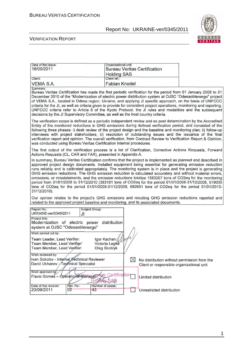

| Date of first issue:<br>16/09/2011                                                                                                                                                                                                                                                                                                                                                                                                                                                                                                                                                                                                                                                                                                                                                                       | Organizational unit:<br><b>Holding SAS</b>    | <b>Bureau Veritas Certification</b> |                           |                                                                                          |
|----------------------------------------------------------------------------------------------------------------------------------------------------------------------------------------------------------------------------------------------------------------------------------------------------------------------------------------------------------------------------------------------------------------------------------------------------------------------------------------------------------------------------------------------------------------------------------------------------------------------------------------------------------------------------------------------------------------------------------------------------------------------------------------------------------|-----------------------------------------------|-------------------------------------|---------------------------|------------------------------------------------------------------------------------------|
| Client:                                                                                                                                                                                                                                                                                                                                                                                                                                                                                                                                                                                                                                                                                                                                                                                                  | Client ref.:                                  |                                     |                           |                                                                                          |
| VEMA S.A.                                                                                                                                                                                                                                                                                                                                                                                                                                                                                                                                                                                                                                                                                                                                                                                                | <b>Fabian Knodel</b>                          |                                     |                           |                                                                                          |
| Summary:<br>Bureau Veritas Certification has made the first periodic verification for the period from 01 January 2008 to 31<br>December 2010 of the "Modernization of electric power distribution system at OJSC "Odesaoblenergo" project<br>of VEMA S.A., located in Odesa region, Ukraine, and applying JI specific approach, on the basis of UNFCCC<br>criteria for the JI, as well as criteria given to provide for consistent project operations, monitoring and reporting.<br>UNFCCC criteria refer to Article 6 of the Kyoto Protocol, the JI rules and modalities and the subsequent<br>decisions by the JI Supervisory Committee, as well as the host country criteria.                                                                                                                         |                                               |                                     |                           |                                                                                          |
| The verification scope is defined as a periodic independent review and ex post determination by the Accredited<br>Entity of the monitored reductions in GHG emissions during defined verification period, and consisted of the<br>following three phases: i) desk review of the project design and the baseline and monitoring plan; ii) follow-up<br>interviews with project stakeholders; iii) resolution of outstanding issues and the issuance of the final<br>verification report and opinion. The overall verification, from Contract Review to Verification Report & Opinion,<br>was conducted using Bureau Veritas Certification internal procedures.                                                                                                                                            |                                               |                                     |                           |                                                                                          |
| The first output of the verification process is a list of Clarification, Corrective Actions Requests, Forward<br>Actions Requests (CL, CAR and FAR), presented in Appendix A.                                                                                                                                                                                                                                                                                                                                                                                                                                                                                                                                                                                                                            |                                               |                                     |                           |                                                                                          |
| In summary, Bureau Veritas Certification confirms that the project is implemented as planned and described in<br>approved project design documents. Installed equipment being essential for generating emission reduction<br>runs reliably and is calibrated appropriately. The monitoring system is in place and the project is generating<br>GHG emission reductions. The GHG emission reduction is calculated accurately and without material errors,<br>omissions, or misstatements, and the emission reductions totalize 1583207 tons of CO2eq for the monitoring<br>period from 01/01/2008 to 31/12/2010 (383181 tons of CO2eq for the period 01/01/2008-31/12/2008, 519035<br>tons of CO2eq for the period 01/01/2009-31/12/2009, 680991 tons of CO2eq for the period 01/01/2010-<br>31/12/2010). |                                               |                                     |                           |                                                                                          |
| Our opinion relates to the project's GHG emissions and resulting GHG emission reductions reported and<br>related to the approved project baseline and monitoring, and its associated documents.                                                                                                                                                                                                                                                                                                                                                                                                                                                                                                                                                                                                          |                                               |                                     |                           |                                                                                          |
| Report No.:<br>UKRAINE-ver/0345/2011                                                                                                                                                                                                                                                                                                                                                                                                                                                                                                                                                                                                                                                                                                                                                                     | Subject Group:<br>JI                          |                                     |                           |                                                                                          |
| Project title:<br>Modernization of electric power distribution<br>system at OJSC "Odesaoblenergo"                                                                                                                                                                                                                                                                                                                                                                                                                                                                                                                                                                                                                                                                                                        |                                               |                                     |                           |                                                                                          |
| Work carried out by:<br>Team Leader, Lead Verifier:<br>Team Member, Lead Verifier.<br>Team Member, Lead Verifier:                                                                                                                                                                                                                                                                                                                                                                                                                                                                                                                                                                                                                                                                                        | Igor Kachan<br>Victoria Legka<br>Oleg Skoblyk |                                     |                           |                                                                                          |
| Work reviewed by:<br>Ivan Sokolov - Internal Technical Reviewer<br>Daniil Ukhanov - Technical Specialist                                                                                                                                                                                                                                                                                                                                                                                                                                                                                                                                                                                                                                                                                                 |                                               | $\bowtie$                           |                           | No distribution without permission from the<br>Client or responsible organizational unit |
| Work approved by:<br>Flavio Gomes - Operational Manager<br>Rev. No.:                                                                                                                                                                                                                                                                                                                                                                                                                                                                                                                                                                                                                                                                                                                                     | Certification<br>$\sim$                       | Limited distribution                |                           |                                                                                          |
| Date of this revision:<br>20/09/2011<br>02                                                                                                                                                                                                                                                                                                                                                                                                                                                                                                                                                                                                                                                                                                                                                               | Number of pages:<br>43                        |                                     | Unrestricted distribution |                                                                                          |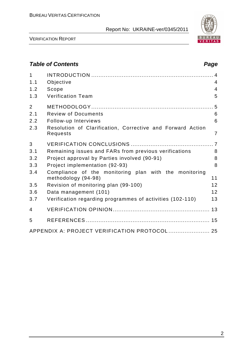

VERIFICATION REPORT

## **Table of Contents Page 2018**

| $\mathbf{1}$<br>1.1<br>1.2<br>1.3 | Objective<br>Scope<br><b>Verification Team</b>                               | $\overline{4}$<br>$\overline{4}$<br>5 |
|-----------------------------------|------------------------------------------------------------------------------|---------------------------------------|
| $\overline{2}$                    |                                                                              |                                       |
| 2.1                               | <b>Review of Documents</b>                                                   | 6                                     |
| 2.2                               | Follow-up Interviews                                                         | 6                                     |
| 2.3                               | Resolution of Clarification, Corrective and Forward Action<br>Requests       | $\overline{7}$                        |
| 3                                 |                                                                              |                                       |
| 3.1                               | Remaining issues and FARs from previous verifications                        | 8                                     |
| 3.2                               | Project approval by Parties involved (90-91)                                 | 8                                     |
| 3.3                               | Project implementation (92-93)                                               | 8                                     |
| 3.4                               | Compliance of the monitoring plan with the monitoring<br>methodology (94-98) | 11                                    |
| 3.5                               | Revision of monitoring plan (99-100)                                         | 12                                    |
| 3.6                               | Data management (101)                                                        | 12                                    |
| 3.7                               | Verification regarding programmes of activities (102-110)                    | 13                                    |
| 4                                 |                                                                              |                                       |
| 5                                 |                                                                              |                                       |
|                                   | APPENDIX A: PROJECT VERIFICATION PROTOCOL  25                                |                                       |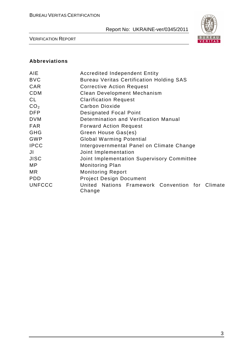

VERIFICATION REPORT

#### **Abbreviations**

| <b>AIE</b>      | <b>Accredited Independent Entity</b>                      |  |  |  |  |  |  |
|-----------------|-----------------------------------------------------------|--|--|--|--|--|--|
| <b>BVC</b>      | <b>Bureau Veritas Certification Holding SAS</b>           |  |  |  |  |  |  |
| <b>CAR</b>      | <b>Corrective Action Request</b>                          |  |  |  |  |  |  |
| <b>CDM</b>      | Clean Development Mechanism                               |  |  |  |  |  |  |
| CL              | <b>Clarification Request</b>                              |  |  |  |  |  |  |
| CO <sub>2</sub> | Carbon Dioxide                                            |  |  |  |  |  |  |
| <b>DFP</b>      | <b>Designated Focal Point</b>                             |  |  |  |  |  |  |
| <b>DVM</b>      | Determination and Verification Manual                     |  |  |  |  |  |  |
| <b>FAR</b>      | <b>Forward Action Request</b>                             |  |  |  |  |  |  |
| <b>GHG</b>      | Green House Gas(es)                                       |  |  |  |  |  |  |
| <b>GWP</b>      | <b>Global Warming Potential</b>                           |  |  |  |  |  |  |
| <b>IPCC</b>     | Intergovernmental Panel on Climate Change                 |  |  |  |  |  |  |
| JI              | Joint Implementation                                      |  |  |  |  |  |  |
| <b>JISC</b>     | Joint Implementation Supervisory Committee                |  |  |  |  |  |  |
| MP.             | <b>Monitoring Plan</b>                                    |  |  |  |  |  |  |
| MR.             | <b>Monitoring Report</b>                                  |  |  |  |  |  |  |
| <b>PDD</b>      | <b>Project Design Document</b>                            |  |  |  |  |  |  |
| <b>UNFCCC</b>   | United Nations Framework Convention for Climate<br>Change |  |  |  |  |  |  |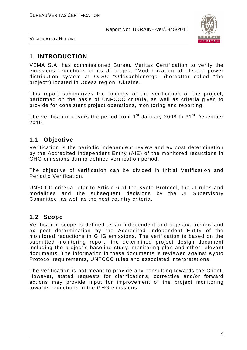

VERIFICATION REPORT

## **1 INTRODUCTION**

VEMA S.A. has commissioned Bureau Veritas Certification to verify the emissions reductions of its JI project "Modernization of electric power distribution system at OJSC "Odesaoblenergo" (hereafter called "the project") located in Odesa region, Ukraine.

This report summarizes the findings of the verification of the project, performed on the basis of UNFCCC criteria, as well as criteria given to provide for consistent project operations, monitoring and reporting.

The verification covers the period from  $1<sup>st</sup>$  January 2008 to  $31<sup>st</sup>$  December 2010.

## **1.1 Objective**

Verification is the periodic independent review and ex post determination by the Accredited Independent Entity (AIE) of the monitored reductions in GHG emissions during defined verification period.

The objective of verification can be divided in Initial Verification and Periodic Verification.

UNFCCC criteria refer to Article 6 of the Kyoto Protocol, the JI rules and modalities and the subsequent decisions by the JI Supervisory Committee, as well as the host country criteria.

### **1.2 Scope**

Verification scope is defined as an independent and objective review and ex post determination by the Accredited Independent Entity of the monitored reductions in GHG emissions. The verification is based on the submitted monitoring report, the determined project design document including the project's baseline study, monitoring plan and other relevant documents. The information in these documents is reviewed against Kyoto Protocol requirements, UNFCCC rules and associated interpretations.

The verification is not meant to provide any consulting towards the Client. However, stated requests for clarifications, corrective and/or forward actions may provide input for improvement of the project monitoring towards reductions in the GHG emissions.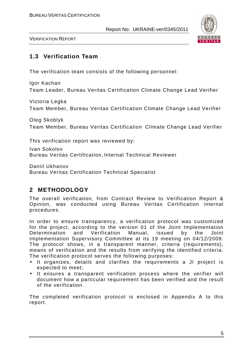

VERIFICATION REPORT

## **1.3 Verification Team**

The verification team consists of the following personnel:

Igor Kachan Team Leader, Bureau Veritas Certification Climate Change Lead Verifier

Victoria Legka Team Member, Bureau Veritas Certification Climate Change Lead Verifier

Oleg Skoblyk Team Member, Bureau Veritas Certification Climate Change Lead Verifier

This verification report was reviewed by:

Ivan Sokolov Bureau Veritas Certification, Internal Technical Reviewer

Daniil Ukhanov Bureau Veritas Certification Technical Specialist

## **2 METHODOLOGY**

The overall verification, from Contract Review to Verification Report & Opinion, was conducted using Bureau Veritas Certification internal procedures.

In order to ensure transparency, a verification protocol was customized for the project, according to the version 01 of the Joint Implementation Determination and Verification Manual, issued by the Joint Implementation Supervisory Committee at its 19 meeting on 04/12/2009. The protocol shows, in a transparent manner, criteria (requirements), means of verification and the results from verifying the identified criteria. The verification protocol serves the following purposes:

- It organizes, details and clarifies the requirements a JI project is expected to meet;
- It ensures a transparent verification process where the verifier will document how a particular requirement has been verified and the result of the verification.

The completed verification protocol is enclosed in Appendix A to this report.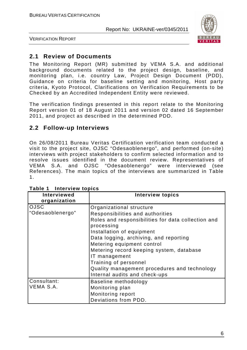

VERIFICATION REPORT

## **2.1 Review of Documents**

The Monitoring Report (MR) submitted by VEMA S.A. and additional background documents related to the project design, baseline, and monitoring plan, i.e. country Law, Project Design Document (PDD), Guidance on criteria for baseline setting and monitoring, Host party criteria, Kyoto Protocol, Clarifications on Verification Requirements to be Checked by an Accredited Independent Entity were reviewed.

The verification findings presented in this report relate to the Monitoring Report version 01 of 18 August 2011 and version 02 dated 16 September 2011, and project as described in the determined PDD.

### **2.2 Follow-up Interviews**

On 26/08/2011 Bureau Veritas Certification verification team conducted a visit to the project site, OJSC "Odesaoblenergo", and performed (on-site) interviews with project stakeholders to confirm selected information and to resolve issues identified in the document review. Representatives of VEMA S.A. and OJSC "Odesaoblenergo" were interviewed (see References). The main topics of the interviews are summarized in Table 1.

| <b>Interviewed</b><br>organization | <b>Interview topics</b>                                          |
|------------------------------------|------------------------------------------------------------------|
| <b>OJSC</b>                        | Organizational structure                                         |
| "Odesaoblenergo"                   | Responsibilities and authorities                                 |
|                                    | Roles and responsibilities for data collection and<br>processing |
|                                    | Installation of equipment                                        |
|                                    | Data logging, archiving, and reporting                           |
|                                    | Metering equipment control                                       |
|                                    | Metering record keeping system, database                         |
|                                    | IT management                                                    |
|                                    | Training of personnel                                            |
|                                    | Quality management procedures and technology                     |
|                                    | Internal audits and check-ups                                    |
| Consultant:                        | Baseline methodology                                             |
| VEMA S.A.                          | Monitoring plan                                                  |
|                                    | Monitoring report                                                |
|                                    | Deviations from PDD.                                             |

**Table 1 Interview topics**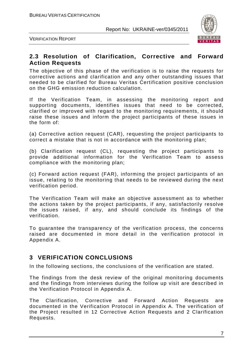

VERIFICATION REPORT

#### **2.3 Resolution of Clarification, Corrective and Forward Action Requests**

The objective of this phase of the verification is to raise the requests for corrective actions and clarification and any other outstanding issues that needed to be clarified for Bureau Veritas Certification positive conclusion on the GHG emission reduction calculation.

If the Verification Team, in assessing the monitoring report and supporting documents, identifies issues that need to be corrected, clarified or improved with regard to the monitoring requirements, it should raise these issues and inform the project participants of these issues in the form of:

(a) Corrective action request (CAR), requesting the project participants to correct a mistake that is not in accordance with the monitoring plan;

(b) Clarification request (CL), requesting the project participants to provide additional information for the Verification Team to assess compliance with the monitoring plan;

(c) Forward action request (FAR), informing the project participants of an issue, relating to the monitoring that needs to be reviewed during the next verification period.

The Verification Team will make an objective assessment as to whether the actions taken by the project participants, if any, satisfactorily resolve the issues raised, if any, and should conclude its findings of the verification.

To guarantee the transparency of the verification process, the concerns raised are documented in more detail in the verification protocol in Appendix A.

## **3 VERIFICATION CONCLUSIONS**

In the following sections, the conclusions of the verification are stated.

The findings from the desk review of the original monitoring documents and the findings from interviews during the follow up visit are described in the Verification Protocol in Appendix A.

The Clarification, Corrective and Forward Action Requests are documented in the Verification Protocol in Appendix A. The verification of the Project resulted in 12 Corrective Action Requests and 2 Clarification Requests.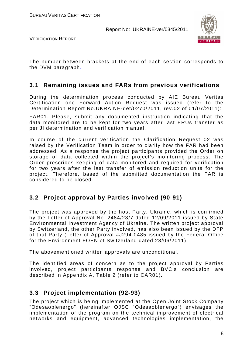

VERIFICATION REPORT

The number between brackets at the end of each section corresponds to the DVM paragraph.

### **3.1 Remaining issues and FARs from previous verifications**

During the determination process conducted by AIE Bureau Veritas Certification one Forward Action Request was issued (refer to the Determination Report No.UKRAINE-det/0270/2011, rev.02 of 01/07/2011):

FAR01. Please, submit any documented instruction indicating that the data monitored are to be kept for two years after last ERUs transfer as per JI determination and verification manual.

In course of the current verification the Clarification Request 02 was raised by the Verification Team in order to clarify how the FAR had been addressed. As a response the project participants provided the Order on storage of data collected within the project's monitoring process. The Order prescribes keeping of data monitored and required for verification for two years after the last transfer of emission reduction units for the project. Therefore, based of the submitted documentation the FAR is considered to be closed.

## **3.2 Project approval by Parties involved (90-91)**

The project was approved by the host Party, Ukraine, which is confirmed by the Letter of Approval No. 2484/23/7 dated 12/09/2011 issued by State Environmental Investment Agency of Ukraine. The written project approval by Switzerland, the other Party involved, has also been issued by the DFP of that Party (Letter of Approval #J294-0485 issued by the Federal Office for the Environment FOEN of Switzerland dated 28/06/2011).

The abovementioned written approvals are unconditional.

The identified areas of concern as to the project approval by Parties involved, project participants response and BVC's conclusion are described in Appendix A, Table 2 (refer to CAR01).

### **3.3 Project implementation (92-93)**

The project which is being implemented at the Open Joint Stock Company "Odesaoblenergo" (hereinafter OJSC "Odesaoblenergo") envisages the implementation of the program on the technical improvement of electrical networks and equipment, advanced technologies implementation, the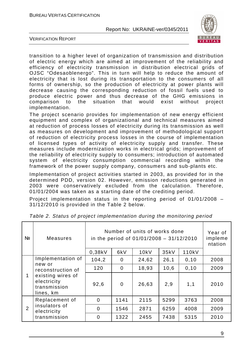

VERIFICATION REPORT

transition to a higher level of organization of transmission and distribution of electric energy which are aimed at improvement of the reliability and efficiency of electricity transmission in distribution electrical grids of OJSC "Odesaoblenergo". This in turn will help to reduce the amount of electricity that is lost during its transportation to the consumers of all forms of ownership, so the production of electricity at power plants will decrease causing the corresponding reduction of fossil fuels used to produce electric power and thus decrease of the GHG emissions in comparison to the situation that would exist without project implementation.

The project scenario provides for implementation of new energy efficient equipment and complex of organizational and technical measures aimed at reduction of process losses of electricity during its transmission as well as measures on development and improvement of methodological support of reduction of electricity process losses in the course of implementation of licensed types of activity of electricity supply and transfer. These measures include modernization works in electrical grids; improvement of the reliability of electricity supply to consumers; introduction of automated system of electricity consumption commercial recording within the framework of the power supply company, consumers and sub-plants etc.

Implementation of project activities started in 2003, as provided for in the determined PDD, version 02. However, emission reductions generated in 2003 were conservatively excluded from the calculation. Therefore, 01/01/2004 was taken as a starting date of the crediting period.

Project implementation status in the reporting period of 01/01/2008 – 31/12/2010 is provided in the Table 2 below.

| Nº                                                                                                   | Measures                                     | Number of units of works done<br>in the period of $01/01/2008 - 31/12/2010$<br>0,38kV | Year of<br>impleme<br>ntation |       |       |       |      |
|------------------------------------------------------------------------------------------------------|----------------------------------------------|---------------------------------------------------------------------------------------|-------------------------------|-------|-------|-------|------|
| Implementation of<br>new or<br>reconstruction of<br>existing wires of<br>electricity<br>transmission | 104,2                                        | $\mathbf 0$                                                                           | 24,62                         | 26,1  | 0, 10 | 2008  |      |
|                                                                                                      | lines, km                                    | 120                                                                                   | $\Omega$                      | 18,93 | 10,6  | 0, 10 | 2009 |
|                                                                                                      |                                              | 92,6                                                                                  | $\Omega$                      | 26,63 | 2,9   | 1,1   | 2010 |
|                                                                                                      | Replacement of                               | $\overline{0}$                                                                        | 1141                          | 2115  | 5299  | 3763  | 2008 |
| 2                                                                                                    | insulators of<br>electricity<br>transmission | $\overline{0}$                                                                        | 1546                          | 2871  | 6259  | 4008  | 2009 |
|                                                                                                      |                                              | $\Omega$                                                                              | 1322                          | 2455  | 7438  | 5315  | 2010 |

Table 2. Status of project implementation during the monitoring period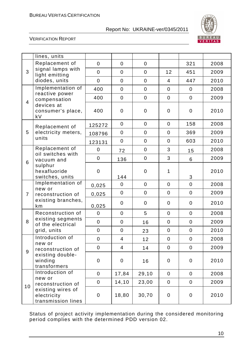

#### VERIFICATION REPORT

|                  | lines, units                                                                 |                  |                  |                  |                  |                  |      |
|------------------|------------------------------------------------------------------------------|------------------|------------------|------------------|------------------|------------------|------|
|                  | Replacement of                                                               | $\mathbf 0$      | $\mathbf 0$      | $\mathbf 0$      |                  | 321              | 2008 |
| 3                | signal lamps with<br>light emitting                                          | $\mathbf 0$      | $\mathbf 0$      | $\boldsymbol{0}$ | 12               | 451              | 2009 |
|                  | diodes, units                                                                | $\mathbf 0$      | $\mathbf 0$      | $\mathbf 0$      | 4                | 447              | 2010 |
|                  | Implementation of                                                            | 400              | $\mathbf 0$      | $\mathbf 0$      | $\mathbf 0$      | $\mathbf 0$      | 2008 |
|                  | reactive power<br>compensation                                               | 400              | $\mathbf 0$      | $\mathsf 0$      | $\mathbf 0$      | $\mathbf 0$      | 2009 |
| $\overline{4}$   | devices at<br>consumer's place,<br>kV                                        | 400              | $\mathbf 0$      | $\mathbf 0$      | $\boldsymbol{0}$ | $\mathbf 0$      | 2010 |
|                  | Replacement of                                                               | 125272           | $\mathbf 0$      | $\boldsymbol{0}$ | $\mathbf 0$      | 158              | 2008 |
| 5                | electricity meters,                                                          | 108796           | $\mathbf 0$      | $\mathbf 0$      | $\mathbf 0$      | 369              | 2009 |
|                  | units                                                                        | 123131           | $\boldsymbol{0}$ | $\boldsymbol{0}$ | $\boldsymbol{0}$ | 603              | 2010 |
|                  | Replacement of<br>oil switches with                                          | $\mathbf 0$      | 72               | $\mathbf 0$      | 3                | 15               | 2008 |
| 6                | vacuum and                                                                   | $\mathbf 0$      | 136              | $\pmb{0}$        | 3                | 6                | 2009 |
|                  | sulphur<br>hexafluoride<br>switches, units                                   | $\boldsymbol{0}$ | 144              | $\boldsymbol{0}$ | 1                | 3                | 2010 |
|                  | Implementation of<br>new or<br>reconstruction of<br>existing branches,<br>km | 0,025            | $\mathbf 0$      | $\mathbf 0$      | $\mathbf 0$      | $\boldsymbol{0}$ | 2008 |
| $\overline{7}$   |                                                                              | 0,025            | $\mathbf 0$      | $\mathbf 0$      | $\mathbf 0$      | $\mathbf 0$      | 2009 |
|                  |                                                                              | 0,025            | $\mathbf 0$      | $\mathbf 0$      | $\mathbf 0$      | $\mathbf 0$      | 2010 |
|                  | Reconstruction of                                                            | $\mathbf 0$      | $\mathbf 0$      | 5                | $\mathbf 0$      | $\mathbf 0$      | 2008 |
| 8                | existing segments<br>of the electrical                                       | $\mathbf 0$      | $\mathbf 0$      | 16               | $\mathbf 0$      | $\mathbf 0$      | 2009 |
|                  | grid, units                                                                  | $\boldsymbol{0}$ | $\mathbf 0$      | 23               | $\boldsymbol{0}$ | $\mathbf 0$      | 2010 |
|                  | Introduction of<br>new or                                                    | $\mathbf 0$      | $\overline{4}$   | 12               | $\boldsymbol{0}$ | $\mathsf 0$      | 2008 |
| $\boldsymbol{9}$ | reconstruction of                                                            | $\mathbf 0$      | $\overline{4}$   | 14               | $\mathbf 0$      | $\mathbf 0$      | 2009 |
|                  | existing double-<br>winding<br>transformers                                  | $\mathbf 0$      | $\mathbf 0$      | 16               | $\mathbf 0$      | $\mathbf 0$      | 2010 |
|                  | Introduction of                                                              | $\overline{0}$   | 17,84            | 29,10            | $\mathbf 0$      | $\mathbf 0$      | 2008 |
|                  | new or<br>reconstruction of                                                  | $\mathbf 0$      | 14,10            | 23,00            | $\mathbf 0$      | $\mathbf 0$      | 2009 |
| 10               | existing wires of<br>electricity<br>transmission lines                       | $\mathbf 0$      | 18,80            | 30,70            | $\mathbf 0$      | $\mathbf 0$      | 2010 |

Status of project activity implementation during the considered monitoring period complies with the determined PDD version 02.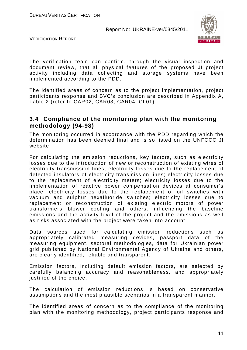

VERIFICATION REPORT

The verification team can confirm, through the visual inspection and document review, that all physical features of the proposed JI project activity including data collecting and storage systems have been implemented according to the PDD.

The identified areas of concern as to the project implementation, project participants response and BVC's conclusion are described in Appendix A, Table 2 (refer to CAR02, CAR03, CAR04, CL01).

#### **3.4 Compliance of the monitoring plan with the monitoring methodology (94-98)**

The monitoring occurred in accordance with the PDD regarding which the determination has been deemed final and is so listed on the UNFCCC JI website.

For calculating the emission reductions, key factors, such as electricity losses due to the introduction of new or reconstruction of existing wires of electricity transmission lines; electricity losses due to the replacement of defected insulators of electricity transmission lines; electricity losses due to the replacement of electricity meters; electricity losses due to the implementation of reactive power compensation devices at consumer's place; electricity losses due to the replacement of oil switches with vacuum and sulphur hexafluoride switches; electricity losses due to replacement or reconstruction of existing electric motors of power transformers blower cooling and others, influencing the baseline emissions and the activity level of the project and the emissions as well as risks associated with the project were taken into account.

Data sources used for calculating emission reductions such as appropriately calibrated measuring devices, passport data of the measuring equipment, sectoral methodologies, data for Ukrainian power grid published by National Environmental Agency of Ukraine and others, are clearly identified, reliable and transparent.

Emission factors, including default emission factors, are selected by carefully balancing accuracy and reasonableness, and appropriately justified of the choice.

The calculation of emission reductions is based on conservative assumptions and the most plausible scenarios in a transparent manner.

The identified areas of concern as to the compliance of the monitoring plan with the monitoring methodology, project participants response and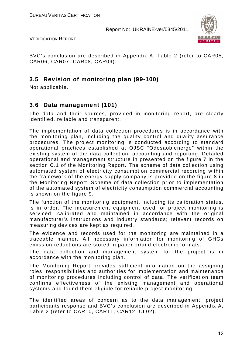



BVC's conclusion are described in Appendix A, Table 2 (refer to CAR05, CAR06, CAR07, CAR08, CAR09).

## **3.5 Revision of monitoring plan (99-100)**

Not applicable.

## **3.6 Data management (101)**

The data and their sources, provided in monitoring report, are clearly identified, reliable and transparent.

The implementation of data collection procedures is in accordance with the monitoring plan, including the quality control and quality assurance procedures. The project monitoring is conducted according to standard operational practices established at OJSC "Odesaoblenergo" within the existing system of the data collection, accounting and reporting. Detailed operational and management structure in presented on the figure 7 in the section C.1 of the Monitoring Report. The scheme of data collection using automated system of electricity consumption commercial recording within the framework of the energy supply company is provided on the figure 8 in the Monitoring Report. Scheme of data collection prior to implementation of the automated system of electricity consumption commercial accounting is shown on the figure 9.

The function of the monitoring equipment, including its calibration status, is in order. The measurement equipment used for project monitoring is serviced, calibrated and maintained in accordance with the original manufacturer's instructions and industry standards; relevant records on measuring devices are kept as required.

The evidence and records used for the monitoring are maintained in a traceable manner. All necessary information for monitoring of GHGs emission reductions are stored in paper or/and electronic formats.

The data collection and management system for the project is in accordance with the monitoring plan.

The Monitoring Report provides sufficient information on the assigning roles, responsibilities and authorities for implementation and maintenance of monitoring procedures including control of data. The verification team confirms effectiveness of the existing management and operational systems and found them eligible for reliable project monitoring.

The identified areas of concern as to the data management, project participants response and BVC's conclusion are described in Appendix A, Table 2 (refer to CAR10, CAR11, CAR12, CL02).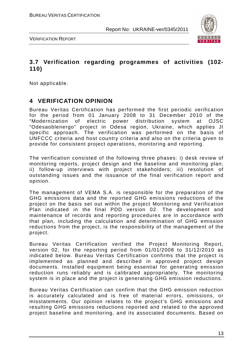

VERIFICATION REPORT

## **3.7 Verification regarding programmes of activities (102- 110)**

Not applicable.

## **4 VERIFICATION OPINION**

Bureau Veritas Certification has performed the first periodic verification for the period from 01 January 2008 to 31 December 2010 of the "Modernization of electric power distribution system at OJSC "Odesaoblenergo" project in Odesa region, Ukraine, which applies JI specific approach. The verification was performed on the basis of UNFCCC criteria and host country criteria and also on the criteria given to provide for consistent project operations, monitoring and reporting.

The verification consisted of the following three phases: i) desk review of monitoring reports, project design and the baseline and monitoring plan; ii) follow-up interviews with project stakeholders; iii) resolution of outstanding issues and the issuance of the final verification report and opinion.

The management of VEMA S.A. is responsible for the preparation of the GHG emissions data and the reported GHG emissions reductions of the project on the basis set out within the project Monitoring and Verification Plan indicated in the final PDD version 02. The development and maintenance of records and reporting procedures are in accordance with that plan, including the calculation and determination of GHG emission reductions from the project, is the responsibility of the management of the project.

Bureau Veritas Certification verified the Project Monitoring Report, version 02, for the reporting period from 01/01/2008 to 31/12/2010 as indicated below. Bureau Veritas Certification confirms that the project is implemented as planned and described in approved project design documents. Installed equipment being essential for generating emission reduction runs reliably and is calibrated appropriately. The monitoring system is in place and the project is generating GHG emission reductions.

Bureau Veritas Certification can confirm that the GHG emission reduction is accurately calculated and is free of material errors, omissions, or misstatements. Our opinion relates to the project's GHG emissions and resulting GHG emissions reductions reported and related to the approved project baseline and monitoring, and its associated documents. Based on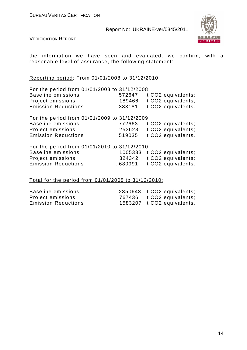

VERIFICATION REPORT

the information we have seen and evaluated, we confirm, with a reasonable level of assurance, the following statement:

Reporting period: From 01/01/2008 to 31/12/2010

| For the period from 01/01/2008 to 31/12/2008 |          |                              |
|----------------------------------------------|----------|------------------------------|
| <b>Baseline emissions</b>                    | :572647  | t CO2 equivalents;           |
| Project emissions                            | : 189466 | t CO2 equivalents;           |
| <b>Emission Reductions</b>                   | : 383181 | t CO2 equivalents.           |
| For the period from 01/01/2009 to 31/12/2009 |          |                              |
| <b>Baseline emissions</b>                    | : 772663 | t CO2 equivalents;           |
| <b>Project emissions</b>                     | : 253628 | t CO2 equivalents;           |
| <b>Emission Reductions</b>                   | : 519035 | t CO2 equivalents.           |
| For the period from 01/01/2010 to 31/12/2010 |          |                              |
| <b>Baseline emissions</b>                    |          | : 1005333 t CO2 equivalents; |

| Baseline emissions         |         | $: 1005333$ t CO2 equivalents; |
|----------------------------|---------|--------------------------------|
| Project emissions          |         | $: 324342$ t CO2 equivalents;  |
| <b>Emission Reductions</b> | :680991 | t CO2 equivalents.             |

#### Total for the period from 01/01/2008 to 31/12/2010:

| Baseline emissions         | $: 2350643$ t CO2 equivalents;         |
|----------------------------|----------------------------------------|
| Project emissions          | $: 767436$ $\qquad$ t CO2 equivalents; |
| <b>Emission Reductions</b> | $: 1583207$ t CO2 equivalents.         |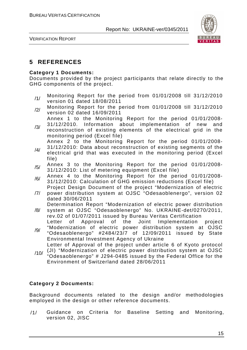

VERIFICATION REPORT

## **5 REFERENCES**

#### **Category 1 Documents:**

Documents provided by the project participants that relate directly to the GHG components of the project.

- /1/ Monitoring Report for the period from 01/01/2008 till 31/12/2010 version 01 dated 18/08/2011
- /2/ Monitoring Report for the period from 01/01/2008 till 31/12/2010 version 02 dated 16/09/2011
- /3/ Annex 1 to the Monitoring Report for the period 01/01/2008- 31/12/2010. Information about implementation of new and reconstruction of existing elements of the electrical grid in the monitoring period (Excel file)

Annex 2 to the Monitoring Report for the period 01/01/2008-

- /4/ 31/12/2010: Data about reconstruction of existing segments of the electrical grid that was executed in the monitoring period (Excel file)
- $/5/$  Annex 3 to the Monitoring Report for the period 01/01/2008-31/12/2010: List of metering equipment (Excel file)
- /6/ Annex 4 to the Monitoring Report for the period 01/01/2008- 31/12/2010: Calculation of GHG emission reductions (Excel file)
- /7/ Project Design Document of the project "Modernization of electric power distribution system at OJSC "Odesaoblenergo", version 02 dated 30/06/2011

/8/ Determination Report "Modernization of electric power distribution system at OJSC "Odesaoblenergo" No. UKRAINE-det/0270/2011,

rev.02 of 01/07/2011 issued by Bureau Veritas Certification

/9/ Letter of Approval of the Joint Implementation project "Modernization of electric power distribution system at OJSC "Odesaoblenergo" #2484/23/7 of 12/09/2011 issued by State Environmental Investment Agency of Ukraine

Letter of Approval of the project under article 6 of Kyoto protocol

/10/ (JI) "Modernization of electric power distribution system at OJSC "Odesaoblenergo" # J294-0485 issued by the Federal Office for the Environment of Switzerland dated 28/06/2011

#### **Category 2 Documents:**

Background documents related to the design and/or methodologies employed in the design or other reference documents.

/1/ Guidance on Criteria for Baseline Setting and Monitoring, version 02, JISC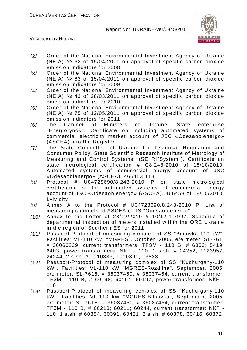

- /2/ Order of the National Environmental Investment Agency of Ukraine (NEIA) № 62 of 15/04/2011 on approval of specific carbon dioxide emission indicators for 2008
- /3/ Order of the National Environmental Investment Agency of Ukraine (NEIA) № 63 of 15/04/2011 on approval of specific carbon dioxide emission indicators for 2009
- /4/ Order of the National Environmental Investment Agency of Ukraine (NEIA) № 43 of 28/03/2011 on approval of specific carbon dioxide emission indicators for 2010
- /5/ Order of the National Environmental Investment Agency of Ukraine (NEIA) № 75 of 12/05/2011 on approval of specific carbon dioxide emission indicators for 2011
- /6/ The Cabinet of Ministers of Ukraine. State enterprise "Energorynok". Certificate on including automated systems of commercial electricity market account of JSC «Odesaoblenergo» (ASCEA) into the Register
- /7/ The State Committee of Ukraine for Technical Regulation and Consumer Policy. State Scientific Research Institute of Metrology of Measuring and Control Systems "(SE RI"System"). Certificate on state metrological certification # C8,248-2010 of 18/10/2010. Automated systems of commercial energy account of JSC «Odesaoblenergo» (ASCEA). 466453.118
- /8/ Protocol # U04728690/8.248-2010 P on state metrological certification of the automated systems of commercial energy account of JSC «Odesaoblenergo» (ASCEA). 466453 of 18/10/2010, Lviv city
- /9/ Annex A to the Protocol # U04728690/8.248-2010 P. List of measuring channels of ASCEA of JS "Odesaoblenergo"
- /10/ Annex to the Letter of 28/12/2010 # 10/12-1-7997. Schedule of departmental inspection of meters installed within the ORE Ukraine in the region of Southern ES for 2011
- /11/ Passport-Protocol of measuring complex of SS "Biliaivka-110 kW". Facilities: VL-110 kW "MGRES". October, 2005. e/e meter: SL-761, # 36066239, current transformers: TFЗМ - 110 B, # 6333; 5419; 6403, power transformers: NKF - 110: 1 s.sh. # 24252, 1123957, 24244. 2 s.sh. # 1010333, 1010391, 13833
- /12/ Passport-Protocol of measuring complex of SS "Kuchurgany-110 kW". Facilities: VL-110 kW "MGRES-Rozdilna", September, 2005. e/e meter: SL-7618, # 36037450, # 36037454, current transformer: TFЗМ - 110 B, # 60198; 60194; 60197, power transformer: NКF - 110
- /13/ Passport-Protocol of measuring complex of SS "Kuchurgany-110 kW". Facilities: VL-110 kW "MGRES-Biliaivka", September, 2005. e/e meter: SL-761B, # 36037450, # 36037454, current transformer: TFЗМ - 110 B, # 60213; 60211; 60244, current transformer: NКF - 110: 1 s.sh. # 60384, 60391, 60421. 2 s.sh. # 60378, 60416, 60372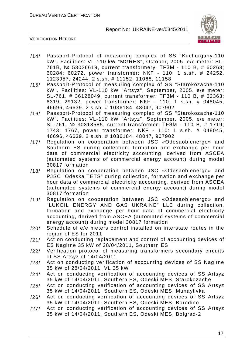

- /14/ Passport-Protocol of measuring complex of SS "Kuchurgany-110 kW". Facilities: VL-110 kW "MGRES", October, 2005. e/e meter: SL-761В, № 53026619, current transformerу: ТFЗМ - 110 B, # 60263; 60284; 60272, power transformer: NКF - 110: 1 s.sh. # 24252, 1123957, 24244. 2 s.sh. # 11152, 11068, 11158
- /15/ Passport-Protocol of measuring complex of SS "Starokozache-110 kW". Facilities: VL-110 kW "Artsyz", September, 2005. e/e meter: SL-761, # 36128049, current transformer: ТFЗМ - 110 B, # 62363; 6319; 29132, power transformer: NКF - 110: 1 s.sh. # 048045, 46696, 46639. 2 s.sh. # 1036184, 48047, 907902
- /16/ Passport-Protocol of measuring complex of SS "Starokozache-110 kW". Facilities: VL-110 kW "Artsyz", September, 2005. e/e meter: SL-761, № 30318585, current transformer: ТFЗМ - 110 B, # 1719; 1743; 1767, power transformer: NКF - 110: 1 s.sh. # 048045, 46696, 46639. 2 s.sh. # 1036184, 48047, 907902
- /17/ Regulation on cooperation between JSC «Odesaoblenergo» and Southern ES during collection, formation and exchange per hour data of commercial electricity accounting, derived from ASCEA (automated systems of commercial energy account) during model 30817 formation
- /18/ Regulation on cooperation between JSC «Odesaoblenergo» and PJSC "Odeska TETS" during collection, formation and exchange per hour data of commercial electricity accounting, derived from ASCEA (automated systems of commercial energy account) during model 30817 formation
- /19/ Regulation on cooperation between JSC «Odesaoblenergo» and "LUKOIL ENERGY AND GAS UKRAINE" LLC during collection, formation and exchange per hour data of commercial electricity accounting, derived from ASCEA (automated systems of commercial energy account) during model 30817 formation
- /20/ Schedule of e/e meters control installed on interstate routes in the region of ES for 2011
- /21/ Act on conducting replacement and control of accounting devices of ES Nagirne 35 kW of 28/04/2011, Southern ES
- /22/ Verification protocol of measuring transformers secondary circuits of SS Artsyz of 14/04/2011
- /23/ Act on conducting verification of accounting devices of SS Nagirne 35 kW of 28/04/2011, VL 35 kW
- /24/ Act on conducting verification of accounting devices of SS Artsyz 35 kW of 14/04/2011, Southern ES, Odeski MES, Starokozache
- /25/ Act on conducting verification of accounting devices of SS Artsyz 35 kW of 14/04/2011, Southern ES, Odeski MES, Muhaylivka
- /26/ Act on conducting verification of accounting devices of SS Artsyz 35 kW of 14/04/2011, Southern ES, Odeski MES, Borodino
- /27/ Act on conducting verification of accounting devices of SS Artsyz 35 kW of 14/04/2011, Southern ES, Odeski MES, Bolgrad-2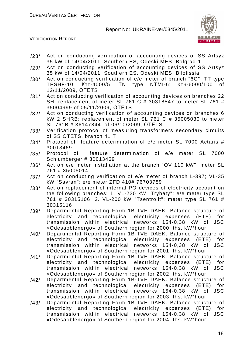

- /28/ Act on conducting verification of accounting devices of SS Artsyz 35 kW of 14/04/2011, Southern ES, Odeski MES, Bolgrad-1
- /29/ Act on conducting verification of accounting devices of SS Artsyz 35 kW of 14/04/2011, Southern ES, Odeski MES, Bilolissia
- /30/ Act on conducting verification of e/e meter of branch "6G": TT type TPSHF-10, Ктт-4000/5; ТN type NТМI-6; Ктн-6000/100 of 12/11/2009, ОТЕTS
- /31/ Act on conducting verification of accounting devices on branches 22 SH: replacement of meter SL 761 C # 30318547 to meter SL 761 # 35004999 of 05/11/2009, ОТЕTS
- /32/ Act on conducting verification of accounting devices on branches 6 kW 2 SHRB: replacement of meter SL 761 C # 35005030 to meter SL 761B # 36147844 of 06/10/2009, ОТЕTS
- /33/ Verification protocol of measuring transformers secondary circuits of SS OTETS, branch 41 T
- /34/ Protocol of feature determination of e/e meter SL 7000 Actaris # 30013469
- /35/ Protocol of feature determination of e/e meter SL 7000 Schlumberger # 30013469
- /36/ Act on e/e meter installation at the branch "OV 110 kW": meter SL 761 # 35005014
- /37/ Act on conducting verification of e/e meter of branch L-397; VL-35 kW "Savran": e/e meter ZFD 410# 76703789
- /38/ Act on replacement of internal PO devices of electricity account on the following branches: 1. VL-220 kW "Tryhaty": e/e meter type SL 761 # 30315106; 2. VL-200 kW "Tsentrolit": meter type SL 761 # 30315116
- /39/ Departmental Reporting Form 1B-TVE DAEK. Balance structure of electricity and technological electricity expenses (ETE) for transmission within electrical networks 154-0,38 kW of JSC «Odesaoblenergo» of Southern region for 2000, ths. kW\*hour
- /40/ Departmental Reporting Form 1B-TVE DAEK. Balance structure of electricity and technological electricity expenses (ETE) for transmission within electrical networks 154-0,38 kW of JSC «Odesaoblenergo» of Southern region for 2001, ths. kW\*hour
- /41/ Departmental Reporting Form 1B-TVE DAEK. Balance structure of electricity and technological electricity expenses (ETE) for transmission within electrical networks 154-0,38 kW of JSC «Odesaoblenergo» of Southern region for 2002, ths. kW\*hour
- /42/ Departmental Reporting Form 1B-TVE DAEK. Balance structure of<br>electricity and technological electricity expenses (ETE) for electricity and technological electricity expenses (ETE) for transmission within electrical networks 154-0,38 kW of JSC «Odesaoblenergo» of Southern region for 2003, ths. kW\*hour
- /43/ Departmental Reporting Form 1B-TVE DAEK. Balance structure of electricity and technological electricity expenses (ETE) for transmission within electrical networks 154-0,38 kW of JSC «Odesaoblenergo» of Southern region for 2004, ths. kW\*hour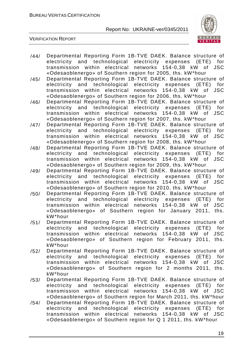

- /44/ Departmental Reporting Form 1B-TVE DAEK. Balance structure of electricity and technological electricity expenses (ETE) for transmission within electrical networks 154-0,38 kW of JSC «Odesaoblenergo» of Southern region for 2005, ths. kW\*hour
- /45/ Departmental Reporting Form 1B-TVE DAEK. Balance structure of electricity and technological electricity expenses (ETE) for transmission within electrical networks 154-0,38 kW of JSC «Odesaoblenergo» of Southern region for 2006, ths. kW\*hour
- /46/ Departmental Reporting Form 1B-TVE DAEK. Balance structure of electricity and technological electricity expenses (ETE) for transmission within electrical networks 154-0,38 kW of JSC «Odesaoblenergo» of Southern region for 2007, ths. kW\*hour
- /47/ Departmental Reporting Form 1B-TVE DAEK. Balance structure of electricity and technological electricity expenses (ETE) for transmission within electrical networks 154-0,38 kW of JSC «Odesaoblenergo» of Southern region for 2008, ths. kW\*hour
- /48/ Departmental Reporting Form 1B-TVE DAEK. Balance structure of electricity and technological electricity expenses (ETE) for transmission within electrical networks 154-0,38 kW of JSC «Odesaoblenergo» of Southern region for 2009, ths. kW\*hour
- /49/ Departmental Reporting Form 1B-TVE DAEK. Balance structure of electricity and technological electricity expenses (ETE) for transmission within electrical networks 154-0,38 kW of JSC «Odesaoblenergo» of Southern region for 2010, ths. kW\*hour
- /50/ Departmental Reporting Form 1B-TVE DAEK. Balance structure of electricity and technological electricity expenses (ETE) for transmission within electrical networks 154-0,38 kW of JSC «Odesaoblenergo» of Southern region for January 2011, ths. kW\*hour
- /51/ Departmental Reporting Form 1B-TVE DAEK. Balance structure of electricity and technological electricity expenses (ETE) for transmission within electrical networks 154-0,38 kW of JSC «Odesaoblenergo» of Southern region for February 2011, ths. kW\*hour
- /52/ Departmental Reporting Form 1B-TVE DAEK. Balance structure of electricity and technological electricity expenses (ETE) for transmission within electrical networks 154-0,38 kW of JSC «Odesaoblenergo» of Southern region for 2 months 2011, ths. kW\*hour
- /53/ Departmental Reporting Form 1B-TVE DAEK. Balance structure of<br>electricity and technological electricity expenses (ETE) for electricity and technological electricity expenses (ETE) for transmission within electrical networks 154-0,38 kW of JSC «Odesaoblenergo» of Southern region for March 2011, ths. kW\*hour
- /54/ Departmental Reporting Form 1B-TVE DAEK. Balance structure of electricity and technological electricity expenses (ETE) for transmission within electrical networks 154-0,38 kW of JSC «Odesaoblenergo» of Southern region for Q 1 2011, ths. kW\*hour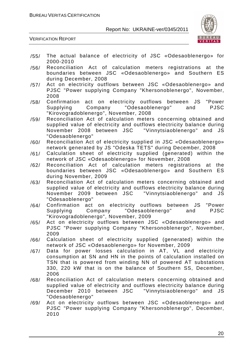

- /55/ The actual balance of electricity of JSC «Odesaoblenergo» for 2000-2010
- /56/ Reconciliation Act of calculation meters registrations at the boundaries between JSC «Odesaoblenergo» and Southern ES during December, 2008
- /57/ Act on electricity outflows between JSC «Odesaoblenergo» and PJSC "Power supplying Company "Khersonoblenergo", November, 2008
- /58/ Confirmation act on electricity outflows between JS "Power Supplying Company "Odesaoblenergo" and PJSC "Kirovogradoblenergo", November, 2008
- /59/ Reconciliation Act of calculation meters concerning obtained and supplied value of electricity and outflows electricity balance during November 2008 between JSC "Vinnytsiaoblenergo" and JS "Odesaoblenergo"
- /60/ Reconciliation Act of electricity supplied in JSC «Odesaoblenergo» network generated by JS "Odeska TETS" during December, 2008
- /61/ Calculation sheet of electricity supplied (generated) within the network of JSC «Odesaoblenergo» for November, 2008
- /62/ Reconciliation Act of calculation meters registrations at the boundaries between JSC «Odesaoblenergo» and Southern ES during November, 2009
- /63/ Reconciliation Act of calculation meters concerning obtained and supplied value of electricity and outflows electricity balance during November 2009 between JSC "Vinnytsiaoblenergo" and JS "Odesaoblenergo"
- /64/ Confirmation act on electricity outflows between JS "Power Supplying Company "Odesaoblenergo" and PJSC "Kirovogradoblenergo", November, 2009
- /65/ Act on electricity outflows between JSC «Odesaoblenergo» and PJSC "Power supplying Company "Khersonoblenergo", November, 2009
- /66/ Calculation sheet of electricity supplied (generated) within the network of JSC «Odesaoblenergo» for November, 2009
- /67/ Data for power losses calculation in AT, VL and electricity consumption at SN and HN in the points of calculation installed on TSN that is powered from winding NN of powered AT substations 330, 220 kW that is on the balance of Southern SS, December, 2006
- /68/ Reconciliation Act of calculation meters concerning obtained and supplied value of electricity and outflows electricity balance during December 2010 between JSC "Vinnytsiaoblenergo" and JS "Odesaoblenergo"
- /69/ Act on electricity outflows between JSC «Odesaoblenergo» and PJSC "Power supplying Company "Khersonoblenergo", December, 2010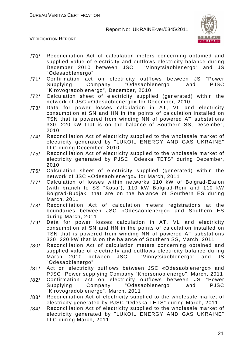

- /70/ Reconciliation Act of calculation meters concerning obtained and supplied value of electricity and outflows electricity balance during December 2010 between JSC "Vinnytsiaoblenergo" and JS "Odesaoblenergo"
- /71/ Confirmation act on electricity outflows between JS "Power Supplying Company "Odesaoblenergo" and PJSC "Kirovogradoblenergo", December, 2010
- /72/ Calculation sheet of electricity supplied (generated) within the network of JSC «Odesaoblenergo» for December, 2010
- /73/ Data for power losses calculation in AT, VL and electricity consumption at SN and HN in the points of calculation installed on TSN that is powered from winding NN of powered AT substations 330, 220 kW that is on the balance of Southern SS, December, 2010
- /74/ Reconciliation Act of electricity supplied to the wholesale market of electricity generated by "LUKOIL ENERGY AND GAS UKRAINE" LLC during December, 2010
- /75/ Reconciliation Act of electricity supplied to the wholesale market of electricity generated by PJSC "Odeska TETS" during December, 2010
- /76/ Calculation sheet of electricity supplied (generated) within the network of JSC «Odesaoblenergo» for March, 2011
- /77/ Calculation of losses within networks 110 kW of Bolgrad-Etalon (with branch to SS "Kosa"), 110 kW Bolgrad-Reni and 110 kW Bolgrad-Budjak, that are on the balance of Southern ES during March, 2011
- /78/ Reconciliation Act of calculation meters registrations at the boundaries between JSC «Odesaoblenergo» and Southern ES during March, 2011
- /79/ Data for power losses calculation in AT, VL and electricity consumption at SN and HN in the points of calculation installed on TSN that is powered from winding NN of powered AT substations 330, 220 kW that is on the balance of Southern SS, March, 2011
- /80/ Reconciliation Act of calculation meters concerning obtained and supplied value of electricity and outflows electricity balance during March 2010 between JSC "Vinnytsiaoblenergo" and JS "Odesaoblenergo"
- /81/ Act on electricity outflows between JSC «Odesaoblenergo» and PJSC "Power supplying Company "Khersonoblenergo", March, 2011
- /82/ Confirmation act on electricity outflows between JS "Power Supplying Company "Odesaoblenergo" and PJSC "Kirovogradoblenergo", March, 2011
- /83/ Reconciliation Act of electricity supplied to the wholesale market of electricity generated by PJSC "Odeska TETS" during March, 2011
- /84/ Reconciliation Act of electricity supplied to the wholesale market of electricity generated by "LUKOIL ENERGY AND GAS UKRAINE" LLC during March, 2011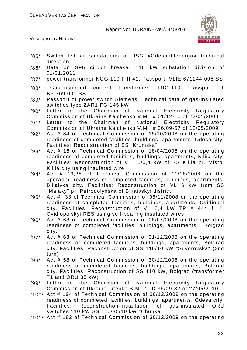

VERIFICATION REPORT

| /85/ | Switch list at substations of JSC «Odesaoblenergo» technical<br>direction                                                                                                                                                                                                                                                          |
|------|------------------------------------------------------------------------------------------------------------------------------------------------------------------------------------------------------------------------------------------------------------------------------------------------------------------------------------|
| /86/ | Data on SF6 circuit breaker 110 kW substation division of<br>01/01/2011                                                                                                                                                                                                                                                            |
| /87/ | power transformer NOG 110 II II 41. Passport, VLIE 671244.008 SS                                                                                                                                                                                                                                                                   |
| /88/ | current transformer. TRG-110.<br>Passport.<br>Gas-insulated<br>$\overline{1}$<br>BP.769.001 SS                                                                                                                                                                                                                                     |
| /89/ | Passport of power switch Siemens. Technical data of gas-insulated<br>switches type ZAR1 FG-145 kW                                                                                                                                                                                                                                  |
| /90/ | Letter to the Chairman of National Electricity Regulatory<br>Commission of Ukraine Kalchenko V.M # 01/12-10 of 22/01/2008                                                                                                                                                                                                          |
| /91/ | Chairman<br>National Electricity Regulatory<br>the<br>of<br>Letter<br>to<br>Commission of Ukraine Kalchenko V.M #36/09-57 of 12/05/2009                                                                                                                                                                                            |
| /92/ | Act # 34 of Technical Commission of 15/10/2008 on the operating<br>readiness of completed facilities, buildings, apartments, Odesa city.<br>Facilities: Reconstruction of SS "Krumska"                                                                                                                                             |
| /93/ | Act # 16 of Technical Commission of 18/04/2008 on the operating<br>readiness of completed facilities, buildings, apartments, Kiliia city.<br>Facilities: Reconstruction of VL 10/0,4 kW of SS Kiliia pr. Misto.<br>Kiliia city using insulated wire                                                                                |
| /94/ | Act # 19,38 of Technical Commission of 11/08/2008 on the<br>operating readiness of completed facilities, buildings, apartments,<br>Biliaivka city. Facilities: Reconstruction of VL 6 kW from SS<br>"Maiaky" pr. Petrodolynska of Biliaivskyi district                                                                             |
| /95/ | Act # 38 of Technical Commission of 05/11/2008 on the operating<br>readiness of completed facilities, buildings, apartments, Ovidiopol<br>city. Facilities: Reconstruction of VL 0,4 kW TP # 444 f. 1,<br>Ovidiopolskyi RES using self-bearing insulated wires                                                                     |
| /96/ | Act # 63 of Technical Commission of 08/07/2008 on the operating<br>readiness of completed facilities, buildings, apartments,<br><b>Bolgrad</b><br>city.                                                                                                                                                                            |
| /97/ | Act # 63 of Technical Commission of 31/12/2008 on the operating<br>readiness of completed facilities, buildings, apartments, Bolgrad<br>city. Facilities: Reconstruction of SS 110/10 kW "Suvorovska" (2nd<br>turn)                                                                                                                |
| /98/ | Act # 58 of Technical Commission of 30/12/2008 on the operating<br>readiness of completed facilities, buildings, apartments, Bolgrad<br>city. Facilities: Reconstruction of SS 110 kW, Bolgrad (transformer<br>T1 and ORU 35 kW)                                                                                                   |
| /99/ | Letter to the Chairman of National Electricity Regulatory                                                                                                                                                                                                                                                                          |
|      | Commission of Ukraine Titenko S.M. # TD 36/09-82 of 27/05/2010<br>$/100/$ Act # 194 of Technical Commission of 30/12/2009 on the operating<br>readiness of completed facilities, buildings, apartments, Odesa city.<br>Facilities: Reconstruction-installation of gas-insulated<br>ORU<br>switches 110 kW SS 110/35/10 kW "Chunka" |
|      | /101/ Act # 182 of Technical Commission of 30/12/2009 on the operating                                                                                                                                                                                                                                                             |

22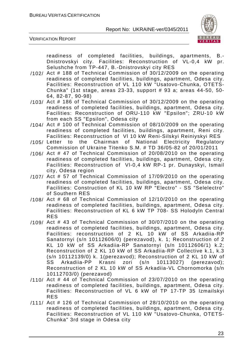

VERIFICATION REPORT

readiness of completed facilities, buildings, apartments, B.- Dnistrovskyi city. Facilities: Reconstruction of VL-0,4 kW pr. Selushche from TP-447, B.-Dnistrovskyi city RES

- /102/ Act # 188 of Technical Commission of 30/12/2009 on the operating readiness of completed facilities, buildings, apartment, Odesa city. Facilities: Reconstruction of VL 110 kW "Usatovo-Chunka, OTETS-Chunka" (1st stage, areas 23-33, support # 93 a; areas 44-50, 50- 64, 82-87, 90-98)
- /103/ Act # 186 of Technical Commission of 30/12/2009 on the operating readiness of completed facilities, buildings, apartment, Odesa city. Facilities: Reconstruction of ORU-110 kW "Epsilon"; ZRU-10 kW from each SS "Epsilon", Odesa city
- /104/ Act # 100 of Technical Commission of 08/10/2009 on the operating readiness of completed facilities, buildings, apartment, Reni city. Facilities: Reconstruction of Vl 10 kW Reni-Silskyi Reiniyskyi RES
- /105/ Letter to the Chairman of National Electricity Regulatory Commission of Ukraine Titenko S.M. # TD 36/05-82 of 20/01/2011
- /106/ Act # 47 of Technical Commission of 20/08/2010 on the operating readiness of completed facilities, buildings, apartment, Odesa city. Facilities: Reconstruction of Vl-0,4 kW RP-1 pr. Dunayskyi, Ismail city, Odesa region
- /107/ Act # 57 of Technical Commission of 17/09/2010 on the operating readiness of completed facilities, buildings, apartment, Odesa city. Facilities: Construction of KL 10 kW RP "Electro" - SS "Selelectro" of Southern RES
- /108/ Act # 68 of Technical Commission of 12/10/2010 on the operating readiness of completed facilities, buildings, apartment, Odesa city. Facilities: Reconstruction of KL 6 kW TP 708- SS Holodyln Central RES
- /109/ Act # 43 of Technical Commission of 30/07/2010 on the operating readiness of completed facilities, buildings, apartment, Odesa city. Facilities: reconstruction of 2 KL 10 kW of SS Arkadiia-RP Sanatornyi (s/n 10112606/0) (perezavod), k. 1; Reconstruction of 2 KL 10 kW of SS Arkadiia-RP Sanatornyi (s/n 10112606/1) k.2; Reconstruction of 2 KL 10 kW of SS Arkadiia-RP Collective k.1, k.3 (s/n 10112139/0) k. 1(perezavod); Reconstruction of 2 KL 10 kW of SS Arkadiia-PP Krasni zori (s/n 10113027) (perezavod); Reconstruction of 2 KL 10 kW of SS Arkadiia-VL Chornomorka (s/n 10112703/0) (perezavod)
- /110/ Act # 44 of Technical Commission of 23/07/2010 on the operating readiness of completed facilities, buildings, apartment, Odesa city. Facilities: Reconstruction of VL 6 kW of TP 17-TP 35 Izmailskyi RES
- /111/ Act # 126 of Technical Commission of 28/10/2010 on the operating readiness of completed facilities, buildings, apartment, Odesa city. Facilities: Reconstruction of VL 110 kW "Usatovo-Chunka, OTETS-Chunka" 3rd stage in Odesa city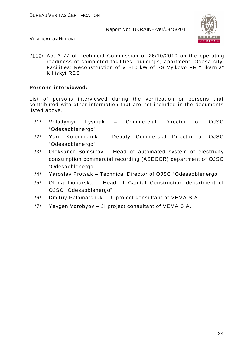

VERIFICATION REPORT

/112/ Act # 77 of Technical Commission of 26/10/2010 on the operating readiness of completed facilities, buildings, apartment, Odesa city. Facilities: Reconstruction of VL-10 kW of SS Vylkovo PR "Likarnia" Kiliiskyi RES

#### **Persons interviewed:**

List of persons interviewed during the verification or persons that contributed with other information that are not included in the documents listed above.

- /1/ Volodymyr Lysniak Commercial Director of OJSC "Odesaoblenergo"
- /2/ Yurii Kolomiichuk Deputy Commercial Director of OJSC "Odesaoblenergo"
- /3/ Oleksandr Somsikov Head of automated system of electricity consumption commercial recording (ASECCR) department of OJSC "Odesaoblenergo"
- /4/ Yaroslav Protsak Technical Director of OJSC "Odesaoblenergo"
- /5/ Olena Liubarska Head of Capital Construction department of OJSC "Odesaoblenergo"
- /6/ Dmitriy Palamarchuk JI project consultant of VEMA S.A.
- /7/ Yevgen Vorobyov JI project consultant of VEMA S.A.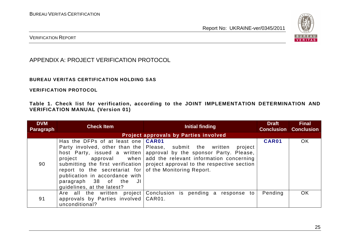

VERIFICATION REPORT

APPENDIX A: PROJECT VERIFICATION PROTOCOL

#### **BUREAU VERITAS CERTIFICATION HOLDING SAS**

**VERIFICATION PROTOCOL** 

**Table 1. Check list for verification, according to the JOINT IMPLEMENTATION DETERMINATION AND VERIFICATION MANUAL (Version 01)** 

| <b>DVM</b><br><b>Paragraph</b> | <b>Check Item</b>                                                                                                                                                                                  | Initial finding                                                                                                                                                                                                                                                                                  | <b>Draft</b> | <b>Final</b><br><b>Conclusion Conclusion</b> |
|--------------------------------|----------------------------------------------------------------------------------------------------------------------------------------------------------------------------------------------------|--------------------------------------------------------------------------------------------------------------------------------------------------------------------------------------------------------------------------------------------------------------------------------------------------|--------------|----------------------------------------------|
|                                |                                                                                                                                                                                                    |                                                                                                                                                                                                                                                                                                  |              |                                              |
| 90                             | Has the DFPs of at least one <b>CAR01</b><br>report to the secretariat for of the Monitoring Report.<br>publication in accordance with<br>paragraph 38 of the<br>JI.<br>quidelines, at the latest? | Party involved, other than the Please, submit the written<br>project<br>host Party, issued a written   approval by the sponsor Party. Please,<br>project approval when add the relevant information concerning<br>submitting the first verification   project approval to the respective section | CAR01        | OK                                           |
| 91                             | Are all the written project<br>approvals by Parties involved   CAR01.<br>unconditional?                                                                                                            | Conclusion is pending a response to                                                                                                                                                                                                                                                              | Pending      | OK                                           |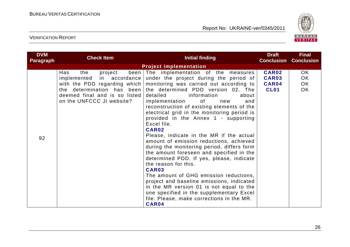

| <b>DVM</b><br>Paragraph | <b>Check Item</b>                                                                                                                              | <b>Initial finding</b>                                                                                                                                                                                                                                                                                                                                                                                                                                                                                                                                                                                                                                                                                                                                                                                                                                                                                                                                              | <b>Draft</b><br><b>Conclusion</b>                    | <b>Final</b><br><b>Conclusion</b> |
|-------------------------|------------------------------------------------------------------------------------------------------------------------------------------------|---------------------------------------------------------------------------------------------------------------------------------------------------------------------------------------------------------------------------------------------------------------------------------------------------------------------------------------------------------------------------------------------------------------------------------------------------------------------------------------------------------------------------------------------------------------------------------------------------------------------------------------------------------------------------------------------------------------------------------------------------------------------------------------------------------------------------------------------------------------------------------------------------------------------------------------------------------------------|------------------------------------------------------|-----------------------------------|
|                         |                                                                                                                                                |                                                                                                                                                                                                                                                                                                                                                                                                                                                                                                                                                                                                                                                                                                                                                                                                                                                                                                                                                                     |                                                      |                                   |
| 92                      | Has<br>the<br>project<br>implemented in accordance<br>the determination has been<br>deemed final and is so listed<br>on the UNFCCC JI website? | <b>Project implementation</b><br>been The implementation of the measures<br>under the project during the period of<br>with the PDD regarding which   monitoring was carried out according to<br>the determined PDD version 02. The<br>detailed<br>information<br>about<br>of<br>implementation<br>and<br>new<br>reconstruction of existing elements of the<br>electrical grid in the monitoring period is<br>provided in the Annex 1 - supporting<br>Excel file.<br>CAR02<br>Please, indicate in the MR if the actual<br>amount of emission reductions, achieved<br>during the monitoring period, differs form<br>the amount foreseen and specified in the<br>determined PDD. If yes, please, indicate<br>the reason for this.<br>CAR03<br>The amount of GHG emission reductions,<br>project and baseline emissions, indicated<br>in the MR version 01 is not equal to the<br>one specified in the supplementary Excel<br>file. Please, make corrections in the MR. | <b>CAR02</b><br>CAR03<br><b>CAR04</b><br><b>CL01</b> | OK<br>OK<br>OK<br>OK              |
|                         |                                                                                                                                                | CAR04                                                                                                                                                                                                                                                                                                                                                                                                                                                                                                                                                                                                                                                                                                                                                                                                                                                                                                                                                               |                                                      |                                   |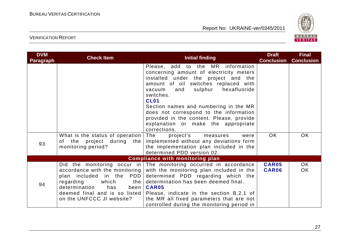

| <b>DVM</b><br><b>Paragraph</b> | <b>Check Item</b>                                                                                   | <b>Initial finding</b>                                                                                                                                                                                                                                                                                                                                                                                                    | <b>Draft</b><br><b>Conclusion</b> | <b>Final</b><br><b>Conclusion</b> |
|--------------------------------|-----------------------------------------------------------------------------------------------------|---------------------------------------------------------------------------------------------------------------------------------------------------------------------------------------------------------------------------------------------------------------------------------------------------------------------------------------------------------------------------------------------------------------------------|-----------------------------------|-----------------------------------|
|                                |                                                                                                     | Please, add to the MR information<br>concerning amount of electricity meters<br>installed under the project and the<br>amount of oil switches replaced with<br>sulphur<br>hexafluoride<br>vacuum<br>and<br>switches.<br><b>CL01</b><br>Section names and numbering in the MR<br>does not correspond to the information<br>provided in the content. Please, provide<br>explanation or make the appropriate<br>corrections. |                                   |                                   |
| 93                             | What is the status of operation The<br>of the project during the<br>monitoring period?              | project's<br>measures<br>were<br>implemented without any deviations form<br>the implementation plan included in the<br>determined PDD version 02.                                                                                                                                                                                                                                                                         | OK.                               | OK.                               |
|                                |                                                                                                     | <b>Compliance with monitoring plan</b>                                                                                                                                                                                                                                                                                                                                                                                    |                                   |                                   |
| 94                             | plan included in the PDD<br>which<br>regarding<br>determination<br>has<br>on the UNFCCC JI website? | Did the monitoring occur in The monitoring occurred in accordance<br>accordance with the monitoring with the monitoring plan included in the<br>determined PDD regarding which the<br>the   determination has been deemed final.<br>been   CAR05<br>deemed final and is so listed Please, indicate in the section B.2.1 of<br>the MR all fixed parameters that are not<br>controlled during the monitoring period in      | <b>CAR05</b><br>CAR06             | OK.<br>OK                         |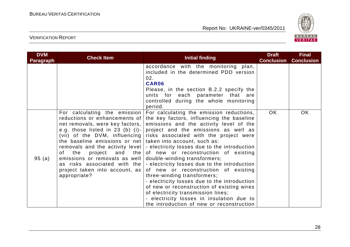

| <b>DVM</b><br><b>Paragraph</b> | <b>Check Item</b>                                                                                                                                                                                                                                                                                    | <b>Initial finding</b>                                                                                                                                                                                                                                                                                                                                                                                                                                                                                                                                                                                                                                                                                                                                                                                                   | <b>Draft</b><br><b>Conclusion</b> | <b>Final</b><br><b>Conclusion</b> |
|--------------------------------|------------------------------------------------------------------------------------------------------------------------------------------------------------------------------------------------------------------------------------------------------------------------------------------------------|--------------------------------------------------------------------------------------------------------------------------------------------------------------------------------------------------------------------------------------------------------------------------------------------------------------------------------------------------------------------------------------------------------------------------------------------------------------------------------------------------------------------------------------------------------------------------------------------------------------------------------------------------------------------------------------------------------------------------------------------------------------------------------------------------------------------------|-----------------------------------|-----------------------------------|
|                                |                                                                                                                                                                                                                                                                                                      | accordance with the monitoring plan,<br>included in the determined PDD version<br>02.<br>CAR06<br>Please, in the section B.2.2 specify the<br>units for each parameter that are<br>controlled during the whole monitoring<br>period.                                                                                                                                                                                                                                                                                                                                                                                                                                                                                                                                                                                     |                                   |                                   |
| 95(a)                          | For calculating the emission<br>reductions or enhancements of<br>net removals, were key factors,  <br>the baseline emissions or net   taken into account, such as:<br>the<br>of l<br>emissions or removals as well<br>as risks associated with the<br>project taken into account, as<br>appropriate? | For calculating the emission reductions,<br>the key factors, influencing the baseline<br>emissions and the activity level of the<br>e.g. those listed in 23 (b) (i)- project and the emissions as well as<br>(vii) of the DVM, influencing risks associated with the project were<br>removals and the activity level   - electricity losses due to the introduction<br>project and the of new or reconstruction of existing<br>double-winding transformers;<br>$\vert$ - electricity losses due to the introduction<br>of new or reconstruction of existing<br>three-winding transformers;<br>- electricity losses due to the introduction<br>of new or reconstruction of existing wires<br>of electricity transmission lines;<br>- electricity losses in insulation due to<br>the introduction of new or reconstruction | <b>OK</b>                         | OK                                |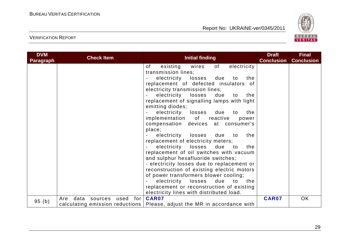

| <b>DVM</b><br><b>Paragraph</b> | <b>Check Item</b>                     | <b>Initial finding</b>                                                     | <b>Draft</b><br><b>Conclusion</b> | <b>Final</b><br><b>Conclusion</b> |
|--------------------------------|---------------------------------------|----------------------------------------------------------------------------|-----------------------------------|-----------------------------------|
|                                |                                       | electricity<br>of<br>wires<br>of<br>existing                               |                                   |                                   |
|                                |                                       | transmission lines;                                                        |                                   |                                   |
|                                |                                       | electricity losses<br>due<br>the<br>to                                     |                                   |                                   |
|                                |                                       | replacement of defected insulators of                                      |                                   |                                   |
|                                |                                       | electricity transmission lines;                                            |                                   |                                   |
|                                |                                       | electricity losses<br>due<br>to<br>the                                     |                                   |                                   |
|                                |                                       | replacement of signalling lamps with light                                 |                                   |                                   |
|                                |                                       | emitting diodes;                                                           |                                   |                                   |
|                                |                                       | electricity<br>losses<br>due<br>the<br>to                                  |                                   |                                   |
|                                |                                       | implementation of reactive<br>power                                        |                                   |                                   |
|                                |                                       | compensation devices at consumer's                                         |                                   |                                   |
|                                |                                       | place;                                                                     |                                   |                                   |
|                                |                                       | electricity losses<br>the<br>due<br>to                                     |                                   |                                   |
|                                |                                       | replacement of electricity meters;                                         |                                   |                                   |
|                                |                                       | electricity losses<br>due to<br>the                                        |                                   |                                   |
|                                |                                       | replacement of oil switches with vacuum                                    |                                   |                                   |
|                                |                                       | and sulphur hexafluoride switches;                                         |                                   |                                   |
|                                |                                       | - electricity losses due to replacement or                                 |                                   |                                   |
|                                |                                       | reconstruction of existing electric motors                                 |                                   |                                   |
|                                |                                       | of power transformers blower cooling;                                      |                                   |                                   |
|                                |                                       | electricity losses<br>due<br>to<br>the                                     |                                   |                                   |
|                                |                                       | replacement or reconstruction of existing                                  |                                   |                                   |
|                                |                                       | electricity lines with distributed load.                                   |                                   |                                   |
|                                | for<br>data<br>used<br>Are<br>sources | <b>CAR07</b>                                                               | <b>CAR07</b>                      | OK                                |
| 95(b)                          |                                       | calculating emission reductions   Please, adjust the MR in accordance with |                                   |                                   |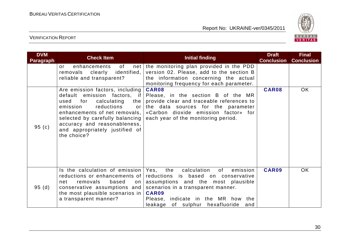

| <b>DVM</b><br><b>Paragraph</b> | <b>Check Item</b>                                                                                                                                                                                                                                                                             | <b>Initial finding</b>                                                                                                                                                                                                                                   | <b>Draft</b><br><b>Conclusion</b> | <b>Final</b><br><b>Conclusion</b> |
|--------------------------------|-----------------------------------------------------------------------------------------------------------------------------------------------------------------------------------------------------------------------------------------------------------------------------------------------|----------------------------------------------------------------------------------------------------------------------------------------------------------------------------------------------------------------------------------------------------------|-----------------------------------|-----------------------------------|
|                                | of<br>enhancements<br>$\alpha r$<br>identified,<br>removals clearly<br>reliable and transparent?                                                                                                                                                                                              | net the monitoring plan provided in the PDD<br>version 02. Please, add to the section B<br>the information concerning the actual<br>monitoring frequency for each parameter.                                                                             |                                   |                                   |
| 95(c)                          | Are emission factors, including<br>default emission factors, if<br>calculating<br>used<br>for<br>the<br>reductions<br>emission<br>or<br>enhancements of net removals,  <br>selected by carefully balancing  <br>accuracy and reasonableness,<br>and appropriately justified of<br>the choice? | CAR08<br>Please, in the section B of the MR<br>provide clear and traceable references to<br>the data sources for the parameter<br>«Carbon dioxide emission factor» for<br>each year of the monitoring period.                                            | CAR08                             | OK                                |
| 95(d)                          | Is the calculation of emission<br>reductions or enhancements of<br>removals<br>based<br>net<br>on<br>conservative assumptions and<br>the most plausible scenarios in<br>a transparent manner?                                                                                                 | the calculation<br>Yes,<br>of<br>emission<br>reductions is based on conservative<br>assumptions and the most plausible<br>scenarios in a transparent manner.<br>CAR09<br>Please, indicate in the MR how the<br>of sulphur hexafluoride<br>leakage<br>and | CAR09                             | <b>OK</b>                         |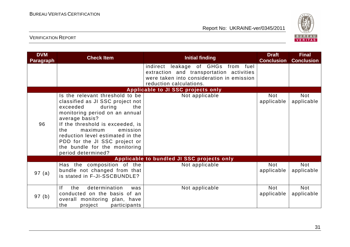

| <b>DVM</b><br><b>Paragraph</b> | <b>Check Item</b>                                                                                                                                                                                                                                                                                                                                  | <b>Initial finding</b>                                                                                                                                 | <b>Draft</b><br><b>Conclusion</b> | <b>Final</b><br><b>Conclusion</b> |
|--------------------------------|----------------------------------------------------------------------------------------------------------------------------------------------------------------------------------------------------------------------------------------------------------------------------------------------------------------------------------------------------|--------------------------------------------------------------------------------------------------------------------------------------------------------|-----------------------------------|-----------------------------------|
|                                |                                                                                                                                                                                                                                                                                                                                                    | indirect leakage of GHGs from fuel<br>extraction and transportation activities<br>were taken into consideration in emission<br>reduction calculations. |                                   |                                   |
|                                |                                                                                                                                                                                                                                                                                                                                                    | Applicable to JI SSC projects only                                                                                                                     |                                   |                                   |
| 96                             | Is the relevant threshold to be<br>classified as JI SSC project not<br>during<br>exceeded<br>the<br>monitoring period on an annual<br>average basis?<br>If the threshold is exceeded, is<br>emission<br>the<br>maximum<br>reduction level estimated in the<br>PDD for the JI SSC project or<br>the bundle for the monitoring<br>period determined? | Not applicable                                                                                                                                         | <b>Not</b><br>applicable          | <b>Not</b><br>applicable          |
|                                |                                                                                                                                                                                                                                                                                                                                                    | Applicable to bundled JI SSC projects only                                                                                                             |                                   |                                   |
| 97(a)                          | Has the composition of the<br>bundle not changed from that<br>is stated in F-JI-SSCBUNDLE?                                                                                                                                                                                                                                                         | Not applicable                                                                                                                                         | <b>Not</b><br>applicable          | <b>Not</b><br>applicable          |
| 97(b)                          | determination<br>If<br>the<br>was<br>conducted on the basis of an<br>overall monitoring plan, have<br>the<br>participants<br>project                                                                                                                                                                                                               | Not applicable                                                                                                                                         | <b>Not</b><br>applicable          | <b>Not</b><br>applicable          |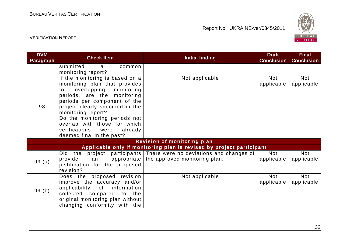

| <b>DVM</b><br><b>Paragraph</b> | <b>Check Item</b>                                                                                                                                                                                                                                                                                                                                            | <b>Initial finding</b>                                                                                              | <b>Draft</b><br><b>Conclusion</b> | <b>Final</b><br><b>Conclusion</b> |
|--------------------------------|--------------------------------------------------------------------------------------------------------------------------------------------------------------------------------------------------------------------------------------------------------------------------------------------------------------------------------------------------------------|---------------------------------------------------------------------------------------------------------------------|-----------------------------------|-----------------------------------|
|                                | submitted<br>common<br>a<br>monitoring report?                                                                                                                                                                                                                                                                                                               |                                                                                                                     |                                   |                                   |
| 98                             | If the monitoring is based on a<br>monitoring plan that provides<br>overlapping monitoring<br>for<br>periods, are the monitoring<br>periods per component of the<br>project clearly specified in the<br>monitoring report?<br>Do the monitoring periods not<br>overlap with those for which<br>verifications<br>were<br>already<br>deemed final in the past? | Not applicable                                                                                                      | Not<br>applicable                 | <b>Not</b><br>applicable          |
|                                |                                                                                                                                                                                                                                                                                                                                                              | <b>Revision of monitoring plan</b>                                                                                  |                                   |                                   |
|                                |                                                                                                                                                                                                                                                                                                                                                              | Applicable only if monitoring plan is revised by project participant                                                |                                   |                                   |
| 99(a)                          | provide<br>an<br>justification for the proposed<br>revision?                                                                                                                                                                                                                                                                                                 | Did the project participants There were no deviations and changes of<br>appropriate   the approved monitoring plan. | Not<br>applicable                 | <b>Not</b><br>applicable          |
| 99(b)                          | Does the proposed revision<br>improve the accuracy and/or<br>applicability of information<br>collected compared to the<br>original monitoring plan without<br>changing conformity with the                                                                                                                                                                   | Not applicable                                                                                                      | Not<br>applicable                 | Not<br>applicable                 |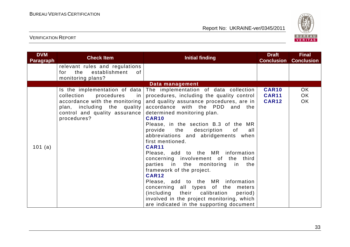

| <b>DVM</b><br><b>Paragraph</b> | <b>Check Item</b>                                                                                                                              | <b>Initial finding</b>                                                                                                                                                                                                                                                                                                                                                                                                                                                                                                                                                                                                                                                                                                                                                                | <b>Draft</b><br><b>Conclusion</b>            | <b>Final</b><br><b>Conclusion</b> |
|--------------------------------|------------------------------------------------------------------------------------------------------------------------------------------------|---------------------------------------------------------------------------------------------------------------------------------------------------------------------------------------------------------------------------------------------------------------------------------------------------------------------------------------------------------------------------------------------------------------------------------------------------------------------------------------------------------------------------------------------------------------------------------------------------------------------------------------------------------------------------------------------------------------------------------------------------------------------------------------|----------------------------------------------|-----------------------------------|
|                                | relevant rules and regulations<br>for the<br>establishment<br>0f<br>monitoring plans?                                                          |                                                                                                                                                                                                                                                                                                                                                                                                                                                                                                                                                                                                                                                                                                                                                                                       |                                              |                                   |
|                                |                                                                                                                                                | Data management                                                                                                                                                                                                                                                                                                                                                                                                                                                                                                                                                                                                                                                                                                                                                                       |                                              |                                   |
| 101 (a)                        | collection procedures<br>in l<br>accordance with the monitoring<br>plan, including the quality<br>control and quality assurance<br>procedures? | Is the implementation of data The implementation of data collection<br>procedures, including the quality control<br>and quality assurance procedures, are in<br>accordance with the PDD and the<br>determined monitoring plan.<br><b>CAR10</b><br>Please, in the section B.3 of the MR<br>provide the description<br>of<br>all<br>abbreviations and abridgements when<br>first mentioned.<br><b>CAR11</b><br>Please, add to the MR information<br>concerning involvement of the third<br>parties in the monitoring in the<br>framework of the project.<br><b>CAR12</b><br>Please, add to the MR information<br>concerning all types of the meters<br>(including their calibration<br>period)<br>involved in the project monitoring, which<br>are indicated in the supporting document | <b>CAR10</b><br><b>CAR11</b><br><b>CAR12</b> | OK.<br>OK<br>OK                   |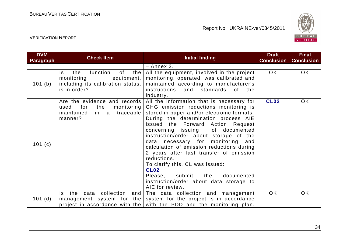

| <b>DVM</b><br><b>Paragraph</b> | <b>Check Item</b>                                                                                                    | <b>Initial finding</b>                                                                                                                                                                                                                                                                                                                                                                                                                                                                                                                                                                            | <b>Draft</b><br><b>Conclusion</b> | <b>Final</b><br><b>Conclusion</b> |
|--------------------------------|----------------------------------------------------------------------------------------------------------------------|---------------------------------------------------------------------------------------------------------------------------------------------------------------------------------------------------------------------------------------------------------------------------------------------------------------------------------------------------------------------------------------------------------------------------------------------------------------------------------------------------------------------------------------------------------------------------------------------------|-----------------------------------|-----------------------------------|
|                                |                                                                                                                      | - Annex 3.                                                                                                                                                                                                                                                                                                                                                                                                                                                                                                                                                                                        |                                   |                                   |
| 101 (b)                        | function<br>of<br>the<br>the<br>Is.<br>monitoring<br>equipment,<br>including its calibration status,<br>is in order? | All the equipment, involved in the project<br>monitoring, operated, was calibrated and<br>maintained according to manufacturer's<br>instructions<br>standards of<br>and<br>the<br>industry.                                                                                                                                                                                                                                                                                                                                                                                                       | <b>OK</b>                         | OK                                |
| 101(c)                         | Are the evidence and records<br>for<br>the<br>monitoring  <br>used<br>in a traceable<br>maintained<br>manner?        | All the information that is necessary for<br>GHG emission reductions monitoring is<br>stored in paper and/or electronic formats.<br>During the determination process AIE<br>issued the Forward Action Request<br>concerning issuing of documented<br>instruction/order about storage of the<br>data necessary for monitoring and<br>calculation of emission reductions during<br>2 years after last transfer of emission<br>reductions.<br>To clarify this, CL was issued:<br><b>CL02</b><br>submit<br>documented<br>Please,<br>the<br>instruction/order about data storage to<br>AIE for review. | <b>CL02</b>                       | OK                                |
| 101(d)                         | data collection and<br>the<br>Is.                                                                                    | The data collection and management<br>management system for the system for the project is in accordance<br>project in accordance with the with the PDD and the monitoring plan.                                                                                                                                                                                                                                                                                                                                                                                                                   | OK.                               | <b>OK</b>                         |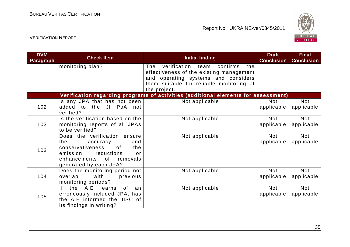

| <b>DVM</b><br><b>Paragraph</b> | <b>Check Item</b>                                                                                                                                                             | <b>Initial finding</b>                                                                                                                                                                  | <b>Draft</b><br><b>Conclusion</b> | <b>Final</b><br><b>Conclusion</b> |
|--------------------------------|-------------------------------------------------------------------------------------------------------------------------------------------------------------------------------|-----------------------------------------------------------------------------------------------------------------------------------------------------------------------------------------|-----------------------------------|-----------------------------------|
|                                | monitoring plan?                                                                                                                                                              | verification team confirms<br>The<br>the<br>effectiveness of the existing management<br>and operating systems and considers<br>them suitable for reliable monitoring of<br>the project. |                                   |                                   |
|                                |                                                                                                                                                                               | Verification regarding programs of activities (additional elements for assessment)                                                                                                      |                                   |                                   |
| 102                            | Is any JPA that has not been<br>added to the JI PoA not<br>verified?                                                                                                          | Not applicable                                                                                                                                                                          | <b>Not</b><br>applicable          | <b>Not</b><br>applicable          |
| 103                            | Is the verification based on the<br>monitoring reports of all JPAs<br>to be verified?                                                                                         | Not applicable                                                                                                                                                                          | <b>Not</b><br>applicable          | <b>Not</b><br>applicable          |
| 103                            | Does the verification ensure<br>the<br>and<br>accuracy<br>conservativeness<br>of<br>the<br>reductions<br>emission<br>or<br>enhancements of removals<br>generated by each JPA? | Not applicable                                                                                                                                                                          | <b>Not</b><br>applicable          | Not<br>applicable                 |
| 104                            | Does the monitoring period not<br>overlap<br>with<br>previous<br>monitoring periods?                                                                                          | Not applicable                                                                                                                                                                          | <b>Not</b><br>applicable          | <b>Not</b><br>applicable          |
| 105                            | the AIE learns<br><b>of</b><br>If.<br>an<br>erroneously included JPA, has<br>the AIE informed the JISC of<br>its findings in writing?                                         | Not applicable                                                                                                                                                                          | <b>Not</b><br>applicable          | <b>Not</b><br>applicable          |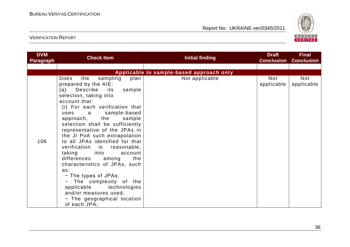

| <b>DVM</b><br><b>Paragraph</b> | <b>Check Item</b>                                                                                                                                                                                                                                                                                                                                                                                                                                                                                                                                                                                                                                                             | <b>Initial finding</b>                   | <b>Draft</b><br><b>Conclusion</b> | <b>Final</b><br><b>Conclusion</b> |
|--------------------------------|-------------------------------------------------------------------------------------------------------------------------------------------------------------------------------------------------------------------------------------------------------------------------------------------------------------------------------------------------------------------------------------------------------------------------------------------------------------------------------------------------------------------------------------------------------------------------------------------------------------------------------------------------------------------------------|------------------------------------------|-----------------------------------|-----------------------------------|
|                                |                                                                                                                                                                                                                                                                                                                                                                                                                                                                                                                                                                                                                                                                               |                                          |                                   |                                   |
|                                |                                                                                                                                                                                                                                                                                                                                                                                                                                                                                                                                                                                                                                                                               | Applicable to sample-based approach only |                                   |                                   |
| 106                            | the<br>sampling<br>Does<br>plan<br>prepared by the AIE:<br>Describe<br>sample<br>its<br>(a)<br>selection, taking into<br>account that:<br>(i) For each verification that<br>sample-based<br>uses a<br>approach, the<br>sample<br>selection shall be sufficiently<br>representative of the JPAs in<br>the JI PoA such extrapolation<br>to all JPAs identified for that<br>verification is reasonable,<br>taking<br><u>into the set</u><br>account<br>the<br>differences<br>among<br>characteristics of JPAs, such<br>as:<br>- The types of JPAs;<br>- The complexity of the<br>applicable technologies<br>and/or measures used;<br>- The geographical location<br>of each JPA; | Not applicable                           | <b>Not</b><br>applicable          | <b>Not</b><br>applicable          |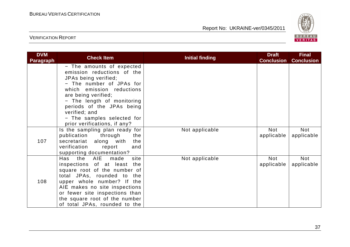

| <b>DVM</b><br><b>Paragraph</b> | <b>Check Item</b>                                                                                                                                                                                                                                                                                         | <b>Initial finding</b> | <b>Draft</b><br><b>Conclusion</b> | <b>Final</b><br><b>Conclusion</b> |
|--------------------------------|-----------------------------------------------------------------------------------------------------------------------------------------------------------------------------------------------------------------------------------------------------------------------------------------------------------|------------------------|-----------------------------------|-----------------------------------|
|                                | - The amounts of expected<br>emission reductions of the<br>JPAs being verified;<br>- The number of JPAs for<br>which emission reductions<br>are being verified;<br>- The length of monitoring<br>periods of the JPAs being<br>verified; and<br>- The samples selected for<br>prior verifications, if any? |                        |                                   |                                   |
| 107                            | Is the sampling plan ready for<br>publication<br>through<br>the<br>secretariat along with<br>the<br>verification<br>report<br>and<br>supporting documentation?                                                                                                                                            | Not applicable         | Not<br>applicable                 | Not<br>applicable                 |
| 108                            | the AIE made<br>Has<br>site<br>inspections of at least<br>the<br>square root of the number of<br>total JPAs, rounded to the<br>upper whole number? If the<br>AIE makes no site inspections<br>or fewer site inspections than<br>the square root of the number<br>of total JPAs, rounded to the            | Not applicable         | <b>Not</b><br>applicable          | Not<br>applicable                 |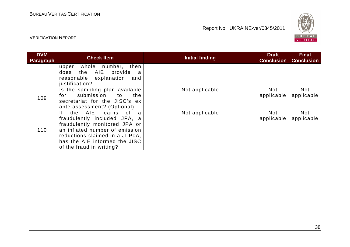

| <b>DVM</b><br><b>Paragraph</b> | <b>Check Item</b>                                                                                                                                                                                                                                 | <b>Initial finding</b> | <b>Draft</b><br><b>Conclusion</b> | <b>Final</b><br><b>Conclusion</b> |
|--------------------------------|---------------------------------------------------------------------------------------------------------------------------------------------------------------------------------------------------------------------------------------------------|------------------------|-----------------------------------|-----------------------------------|
|                                | whole number, then<br>upper<br>the AIE<br>provide<br>does<br>a<br>reasonable explanation<br>and<br>justification?                                                                                                                                 |                        |                                   |                                   |
| 109                            | Is the sampling plan available<br>submission to<br>the<br>for<br>secretariat for the JISC's ex<br>ante assessment? (Optional)                                                                                                                     | Not applicable         | <b>Not</b><br>applicable          | <b>Not</b><br>applicable          |
| 110                            | the AIE<br>0f<br>lf.<br>learns<br>$\mathbf{a}$<br>fraudulently included JPA, a<br>fraudulently monitored JPA or<br>an inflated number of emission<br>reductions claimed in a JI PoA,<br>has the AIE informed the JISC<br>of the fraud in writing? | Not applicable         | Not<br>applicable                 | <b>Not</b><br>applicable          |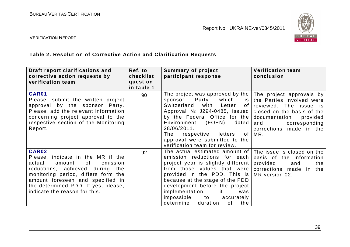

#### VERIFICATION REPORT

#### **Table 2. Resolution of Corrective Action and Clarification Requests**

| Draft report clarifications and<br>corrective action requests by<br>verification team                                                                                                                                                                                         | Ref. to<br>checklist<br>question<br>in table 1 | <b>Summary of project</b><br>participant response                                                                                                                                                                                                                                                                                                                             | <b>Verification team</b><br>conclusion                                                                                                                                                               |
|-------------------------------------------------------------------------------------------------------------------------------------------------------------------------------------------------------------------------------------------------------------------------------|------------------------------------------------|-------------------------------------------------------------------------------------------------------------------------------------------------------------------------------------------------------------------------------------------------------------------------------------------------------------------------------------------------------------------------------|------------------------------------------------------------------------------------------------------------------------------------------------------------------------------------------------------|
| <b>CAR01</b><br>Please, submit the written project<br>approval by the sponsor Party.<br>Please, add the relevant information<br>concerning project approval to the<br>respective section of the Monitoring<br>Report.                                                         | 90                                             | The project was approved by the $ $<br>Party<br>which<br>sponsor<br>is l<br>Switzerland<br>with Letter<br>of I<br>Approval $N2$ J294-0485, issued<br>by the Federal Office for the<br>(FOEN)<br>Environment<br>dated<br>28/06/2011.<br>of l<br>The<br>respective letters<br>approval were submitted to the<br>verification team for review.                                   | The project approvals by<br>the Parties involved were<br>reviewed. The issue is<br>closed on the basis of the<br>documentation<br>provided<br>corresponding<br>and<br>corrections made in the<br>MR. |
| <b>CAR02</b><br>Please, indicate in the MR if the<br>actual<br>of<br>emission<br>amount<br>reductions, achieved during the<br>monitoring period, differs form the<br>amount foreseen and specified in<br>the determined PDD. If yes, please,<br>indicate the reason for this. | 92                                             | The actual estimated amount of   The issue is closed on the<br>emission reductions for each<br>project year is slightly different<br>from those values that were<br>provided in the PDD. This is<br>because at the stage of the PDD<br>development before the project<br>implementation<br>it.<br>was<br>impossible<br>to<br>accurately<br>determine<br>duration<br>of<br>the | basis of the information<br>provided<br>and<br>the<br>corrections made in the<br>MR version 02.                                                                                                      |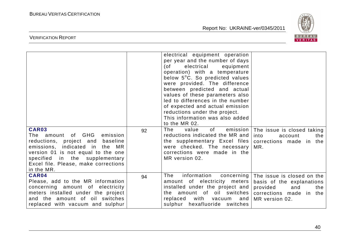

| CAR03                                                                                                                                                                                                                                | 92 | electrical equipment operation<br>per year and the number of days<br>electrical<br>(of<br>equipment<br>operation) with a temperature<br>below 5°C. So predicted values<br>were provided. The difference<br>between predicted and actual<br>values of these parameters also<br>led to differences in the number<br>of expected and actual emission<br>reductions under the project.<br>This information was also added<br>to the MR 02.<br>The<br>of the control<br>value | emission   The issue is closed taking                                                                |
|--------------------------------------------------------------------------------------------------------------------------------------------------------------------------------------------------------------------------------------|----|--------------------------------------------------------------------------------------------------------------------------------------------------------------------------------------------------------------------------------------------------------------------------------------------------------------------------------------------------------------------------------------------------------------------------------------------------------------------------|------------------------------------------------------------------------------------------------------|
| The amount of GHG<br>emission<br>reductions, project and<br>baseline<br>emissions, indicated in the MR<br>version 01 is not equal to the one<br>specified in the supplementary<br>Excel file. Please, make corrections<br>in the MR. |    | reductions indicated the MR and<br>the supplementary Excel files   corrections made in the<br>were checked. The necessary<br>corrections were made in the<br>MR version 02.                                                                                                                                                                                                                                                                                              | into<br>account<br>the<br>MR.                                                                        |
| CAR04<br>Please, add to the MR information<br>concerning amount of electricity<br>meters installed under the project<br>and the amount of oil switches<br>replaced with vacuum and sulphur                                           | 94 | information<br>The<br>amount of electricity meters<br>installed under the project and provided<br>the amount of oil switches   corrections made in the<br>with<br>replaced<br>vacuum<br>  and<br>sulphur hexafluoride switches                                                                                                                                                                                                                                           | concerning   The issue is closed on the<br>basis of the explanations<br>and<br>the<br>MR version 02. |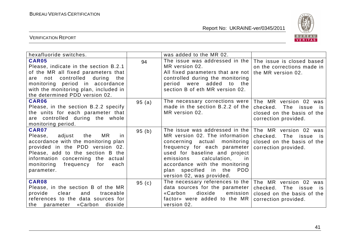

| hexafluoride switches.                                                                                                                                                                                                                                              |        | was added to the MR 02.                                                                                                                                                                                                                                                                                     |                                                                                                             |
|---------------------------------------------------------------------------------------------------------------------------------------------------------------------------------------------------------------------------------------------------------------------|--------|-------------------------------------------------------------------------------------------------------------------------------------------------------------------------------------------------------------------------------------------------------------------------------------------------------------|-------------------------------------------------------------------------------------------------------------|
| <b>CAR05</b><br>Please, indicate in the section B.2.1<br>of the MR all fixed parameters that<br>not controlled during the<br>are<br>monitoring period in accordance<br>with the monitoring plan, included in<br>the determined PDD version 02.                      | 94     | The issue was addressed in the  <br>MR version 02.<br>All fixed parameters that are not<br>controlled during the monitoring<br>period were added to the<br>section B of eth MR version 02.                                                                                                                  | The issue is closed based<br>on the corrections made in<br>the MR version 02.                               |
| CAR06<br>Please, in the section B.2.2 specify<br>the units for each parameter that<br>are controlled during the whole<br>monitoring period.                                                                                                                         | 95(a)  | The necessary corrections were<br>made in the section B.2.2 of the<br>MR version 02.                                                                                                                                                                                                                        | The MR version 02 was<br>checked.<br>The issue<br>is.<br>closed on the basis of the<br>correction provided. |
| <b>CAR07</b><br>adjust<br>MR<br>Please,<br>the<br><i>in</i><br>accordance with the monitoring plan<br>provided in the PDD version 02.<br>Please, add to the section B the<br>information concerning the actual<br>monitoring<br>frequency for<br>each<br>parameter. | 95(b)  | The issue was addressed in the<br>MR version 02. The information<br>concerning actual monitoring<br>frequency for each parameter<br>used for baseline and project<br>calculation,<br>emissions<br>in.<br>accordance with the monitoring<br>plan specified in the<br><b>PDD</b><br>version 02, was provided. | The MR version 02 was<br>checked.<br>The issue<br>is:<br>closed on the basis of the<br>correction provided. |
| CAR08<br>Please, in the section B of the MR<br>provide<br>clear<br>and<br>traceable<br>references to the data sources for<br>parameter «Carbon<br>dioxide<br>the                                                                                                    | 95 (c) | The necessary references to the<br>data sources for the parameter<br>«Carbon<br>dioxide<br>emission<br>factor» were added to the MR<br>version 02.                                                                                                                                                          | The MR version 02 was<br>checked.<br>The issue is<br>closed on the basis of the<br>correction provided.     |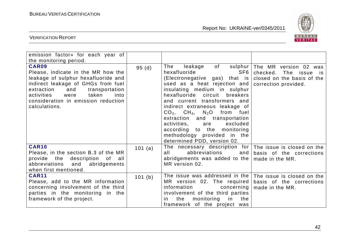

| emission factor» for each year of<br>the monitoring period.                                                                                                                                                                                                    |         |                                                                                                                                                                                                                                                                                                                                                                                                                                                 |                                                                                                                         |
|----------------------------------------------------------------------------------------------------------------------------------------------------------------------------------------------------------------------------------------------------------------|---------|-------------------------------------------------------------------------------------------------------------------------------------------------------------------------------------------------------------------------------------------------------------------------------------------------------------------------------------------------------------------------------------------------------------------------------------------------|-------------------------------------------------------------------------------------------------------------------------|
| CAR09<br>Please, indicate in the MR how the<br>leakage of sulphur hexafluoride and<br>indirect leakage of GHGs from fuel<br>extraction<br>and<br>transportation<br>taken<br>activities<br>were<br>into<br>consideration in emission reduction<br>calculations. | 95(d)   | The<br>hexafluoride<br>SF6<br>(Electronegative gas) that is<br>used as a heat rejection and<br>insulating medium in sulphur<br>hexafluoride circuit<br>breakers<br>and current transformers and<br>indirect extraneous leakage of<br>$CO2$ , $CH4$ , N <sub>2</sub> O from fuel<br>extraction and transportation<br>activities,<br>excluded<br>are<br>according to the monitoring<br>methodology provided in the<br>determined PDD, version 02. | leakage of sulphur The MR version 02 was<br>checked. The issue is<br>closed on the basis of the<br>correction provided. |
| <b>CAR10</b><br>Please, in the section B.3 of the MR<br>provide the description of all<br>abbreviations and<br>abridgements<br>when first mentioned.                                                                                                           | 101 (a) | The necessary description for<br>abbreviations<br>all a<br>and<br>abridgements was added to the $ $<br>MR version 02.                                                                                                                                                                                                                                                                                                                           | The issue is closed on the<br>basis of the corrections<br>made in the MR.                                               |
| <b>CAR11</b><br>Please, add to the MR information<br>concerning involvement of the third<br>parties in the monitoring in the<br>framework of the project.                                                                                                      | 101 (b) | The issue was addressed in the<br>MR version 02. The required<br>information<br>concerning<br>involvement of the third parties<br>the<br>monitoring in<br>the<br>in.<br>framework of the project was                                                                                                                                                                                                                                            | The issue is closed on the<br>basis of the corrections<br>made in the MR.                                               |